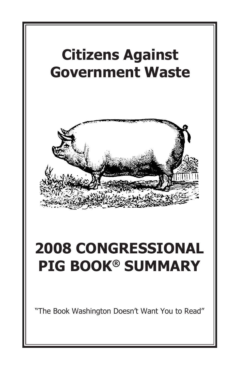

"The Book Washington Doesn't Want You to Read"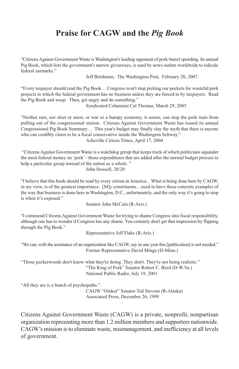#### **Praise for CAGW and the** *Pig Book*

"CitizensAgainst Government Waste is Washington'sleading opponent of pork-barrelspending. Its annual Pig Book, which lists the government's narrow giveaways, is used by news outlets worldwide to ridicule federal earmarks."

Jeff Birnbaum, The Washington Post, February 20, 2007.

"Every taxpayer should read the Pig Book… Congress won't stop picking our pockets for wasteful pork projects in which the federal government has no business unless they are forced to by taxpayers. Read the Pig Book and weep. Then, get angry and do something."

Syndicated Columnist Cal Thomas, March 29, 2005

"Neither rain, nor sleet or snow, or war or a bumpy economy, it seems, can stop the pork train from pulling out of the congressional station. Citizens Against Government Waste has issued its annual Congressional Pig Book Summary… This year's budget may finally slay the myth that there is anyone who can credibly claim to be a fiscal conservative inside the Washington beltway." Asheville Citizen Times, April 17, 2004

"Citizens Against Government Waste is a watchdog group that keeps track of which politicians squander the most federal money on 'pork'- those expenditures that are added after the normal budget process to help a particular group instead of the nation as a whole."

John Stossell, 20/20

"I believe that this book should be read by every citizen in America…What is being done here by CAGW, in my view, is of the greatest importance. [M]y constituents…need to have these concrete examples of the way that business is done here in Washington, D.C., unfortunately, and the only way it's going to stop is when it's exposed."

```
Senator John McCain (R-Ariz.)
```
"I commend Citizens Against Government Waste for trying to shame Congress into fiscal responsibility, although one has to wonder if Congress has any shame. You certainly don't get that impression by flipping through the Pig Book."

Representative Jeff Flake (R-Ariz.)

"We can, with the assistance of an organization like CAGW, say in one year this [publication] is not needed." Former Representative David Minge (D-Minn.)

"Those peckerwoods don't know what they're doing. They don't. They're not being realistic." "The King of Pork" Senator Robert C. Byrd (D-W.Va.) National Public Radio, July 19, 2001

"All they are is a bunch of psychopaths."

CAGW "Oinker" Senator Ted Stevens (R-Alaska) Associated Press, December 26, 1999

Citizens Against Government Waste (CAGW) is a private, nonprofit, nonpartisan organization representing more than 1.2 million members and supporters nationwide. CAGW's mission isto eliminate waste, mismanagement, and inefficiency at all levels of government.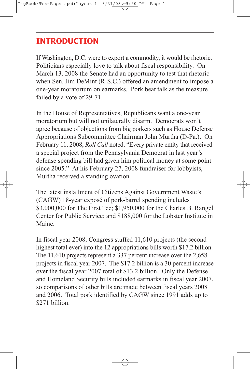#### **INTRODUCTION**

If Washington, D.C. were to export a commodity, it would be rhetoric. Politicians especially love to talk about fiscal responsibility. On March 13, 2008 the Senate had an opportunity to test that rhetoric when Sen. Jim DeMint (R-S.C.) offered an amendment to impose a one-year moratorium on earmarks. Pork beat talk as the measure failed by a vote of 29-71.

In the House of Representatives, Republicans want a one-year moratorium but will not unilaterally disarm. Democrats won't agree because of objections from big porkers such as House Defense Appropriations Subcommittee Chairman John Murtha (D-Pa.). On February 11, 2008, *Roll Call* noted, "Every private entity that received a special project from the Pennsylvania Democrat in last year's defense spending bill had given him political money at some point since 2005." At his February 27, 2008 fundraiser for lobbyists, Murtha received a standing ovation.

The latest installment of Citizens Against Government Waste's (CAGW) 18-year exposé of pork-barrel spending includes \$3,000,000 for The First Tee; \$1,950,000 for the Charles B. Rangel Center for Public Service; and \$188,000 for the Lobster Institute in Maine.

In fiscal year 2008, Congress stuffed 11,610 projects (the second highest total ever) into the 12 appropriations bills worth \$17.2 billion. The 11,610 projects represent a 337 percent increase over the 2,658 projects in fiscal year 2007. The \$17.2 billion is a 30 percent increase over the fiscal year 2007 total of \$13.2 billion. Only the Defense and Homeland Security bills included earmarks in fiscal year 2007, so comparisons of other bills are made between fiscal years 2008 and 2006. Total pork identified by CAGW since 1991 adds up to \$271 billion.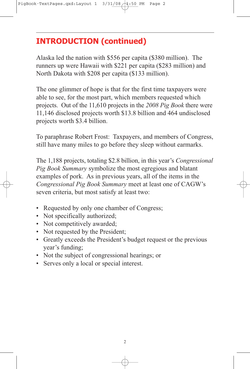# **INTRODUCTION (continued)**

Alaska led the nation with \$556 per capita (\$380 million). The runners up were Hawaii with \$221 per capita (\$283 million) and North Dakota with \$208 per capita (\$133 million).

The one glimmer of hope is that for the first time taxpayers were able to see, for the most part, which members requested which projects. Out of the 11,610 projects in the *2008 Pig Book* there were 11,146 disclosed projects worth \$13.8 billion and 464 undisclosed projects worth \$3.4 billion.

To paraphrase Robert Frost: Taxpayers, and members of Congress, still have many miles to go before they sleep without earmarks.

The 1,188 projects, totaling \$2.8 billion, in this year's *Congressional Pig Book Summary* symbolize the most egregious and blatant examples of pork. As in previous years, all of the items in the *Congressional Pig Book Summary* meet at least one of CAGW's seven criteria, but most satisfy at least two:

- Requested by only one chamber of Congress;
- Not specifically authorized;
- Not competitively awarded;
- Not requested by the President;
- Greatly exceeds the President's budget request or the previous year's funding;
- Not the subject of congressional hearings; or
- Serves only a local or special interest.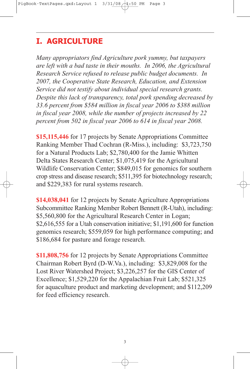# **I. AGRICULTURE**

*Many appropriators find Agriculture pork yummy, but taxpayers are left with a bad taste in their mouths. In 2006, the Agricultural Research Service refused to release public budget documents. In 2007, the Cooperative State Research, Education, and Extension Service did not testify about individual special research grants. Despite this lack of transparency, total pork spending decreased by 33.6 percent from \$584 million in fiscal year 2006 to \$388 million in fiscal year 2008, while the number of projects increased by 22 percent from 502 in fiscal year 2006 to 614 in fiscal year 2008.*

**\$15,115,446** for 17 projects by Senate Appropriations Committee Ranking Member Thad Cochran (R-Miss.), including: \$3,723,750 for a Natural Products Lab; \$2,780,400 for the Jamie Whitten Delta States Research Center; \$1,075,419 for the Agricultural Wildlife Conservation Center; \$849,015 for genomics for southern crop stress and disease research; \$511,395 for biotechnology research; and \$229,383 for rural systems research.

**\$14,038,041** for 12 projects by Senate Agriculture Appropriations Subcommittee Ranking Member Robert Bennett (R-Utah), including: \$5,560,800 for the Agricultural Research Center in Logan; \$2,616,555 for a Utah conservation initiative; \$1,191,600 for function genomics research; \$559,059 for high performance computing; and \$186,684 for pasture and forage research.

**\$11,808,756** for 12 projects by Senate Appropriations Committee Chairman Robert Byrd (D-W.Va.), including: \$3,829,008 for the Lost River Watershed Project; \$3,226,257 for the GIS Center of Excellence; \$1,529,220 for the Appalachian Fruit Lab; \$521,325 for aquaculture product and marketing development; and \$112,209 for feed efficiency research.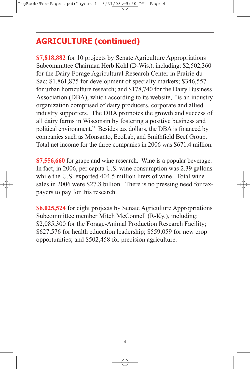**\$7,818,882** for 10 projects by Senate Agriculture Appropriations Subcommittee Chairman Herb Kohl (D-Wis.), including: \$2,502,360 for the Dairy Forage Agricultural Research Center in Prairie du Sac; \$1,861,875 for development of specialty markets; \$346,557 for urban horticulture research; and \$178,740 for the Dairy Business Association (DBA), which according to its website, *"*is an industry organization comprised of dairy producers, corporate and allied industry supporters. The DBA promotes the growth and success of all dairy farms in Wisconsin by fostering a positive business and political environment." Besides tax dollars, the DBA is financed by companies such as Monsanto, EcoLab, and Smithfield Beef Group. Total net income for the three companies in 2006 was \$671.4 million.

**\$7,556,660** for grape and wine research. Wine is a popular beverage. In fact, in 2006, per capita U.S. wine consumption was 2.39 gallons while the U.S. exported 404.5 million liters of wine. Total wine sales in 2006 were \$27.8 billion. There is no pressing need for taxpayers to pay for this research.

**\$6,025,524** for eight projects by Senate Agriculture Appropriations Subcommittee member Mitch McConnell (R-Ky.), including: \$2,085,300 for the Forage-Animal Production Research Facility; \$627,576 for health education leadership; \$559,059 for new crop opportunities; and \$502,458 for precision agriculture.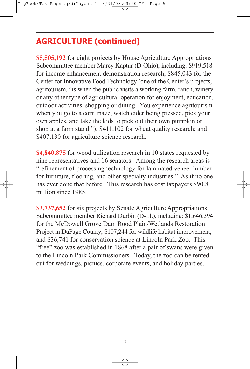**\$5,505,192** for eight projects by House Agriculture Appropriations Subcommittee member Marcy Kaptur (D-Ohio), including: \$919,518 for income enhancement demonstration research; \$845,043 for the Center for Innovative Food Technology (one of the Center's projects, agritourism, "is when the public visits a working farm, ranch, winery or any other type of agricultural operation for enjoyment, education, outdoor activities, shopping or dining. You experience agritourism when you go to a corn maze, watch cider being pressed, pick your own apples, and take the kids to pick out their own pumpkin or shop at a farm stand."); \$411,102 for wheat quality research; and \$407,130 for agriculture science research.

**\$4,840,875** for wood utilization research in 10 states requested by nine representatives and 16 senators. Among the research areas is "refinement of processing technology for laminated veneer lumber for furniture, flooring, and other specialty industries." As if no one has ever done that before. This research has cost taxpayers \$90.8 million since 1985.

**\$3,737,652** for six projects by Senate Agriculture Appropriations Subcommittee member Richard Durbin (D-Ill.), including: \$1,646,394 for the McDowell Grove Dam Rood Plain/Wetlands Restoration Project in DuPage County; \$107,244 for wildlife habitat improvement; and \$36,741 for conservation science at Lincoln Park Zoo. This "free" zoo was established in 1868 after a pair of swans were given to the Lincoln Park Commissioners. Today, the zoo can be rented out for weddings, picnics, corporate events, and holiday parties.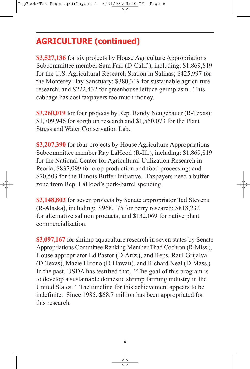**\$3,527,136** for six projects by House Agriculture Appropriations Subcommittee member Sam Farr (D-Calif.), including: \$1,869,819 for the U.S. Agricultural Research Station in Salinas; \$425,997 for the Monterey Bay Sanctuary; \$380,319 for sustainable agriculture research; and \$222,432 for greenhouse lettuce germplasm. This cabbage has cost taxpayers too much money.

**\$3,260,019** for four projects by Rep. Randy Neugebauer (R-Texas): \$1,709,946 for sorghum research and \$1,550,073 for the Plant Stress and Water Conservation Lab.

**\$3,207,390** for four projects by House Agriculture Appropriations Subcommittee member Ray LaHood (R-Ill.), including: \$1,869,819 for the National Center for Agricultural Utilization Research in Peoria; \$837,099 for crop production and food processing; and \$70,503 for the Illinois Buffer Initiative. Taxpayers need a buffer zone from Rep. LaHood's pork-barrel spending.

**\$3,148,803** for seven projects by Senate appropriator Ted Stevens (R-Alaska), including: \$968,175 for berry research; \$818,232 for alternative salmon products; and \$132,069 for native plant commercialization.

**\$3,097,167** for shrimp aquaculture research in seven states by Senate Appropriations Committee Ranking Member Thad Cochran (R-Miss.), House appropriator Ed Pastor (D-Ariz.), and Reps. Raul Grijalva (D-Texas), Mazie Hirono (D-Hawaii), and Richard Neal (D-Mass.). In the past, USDA has testified that, "The goal of this program is to develop a sustainable domestic shrimp farming industry in the United States." The timeline for this achievement appears to be indefinite. Since 1985, \$68.7 million has been appropriated for this research.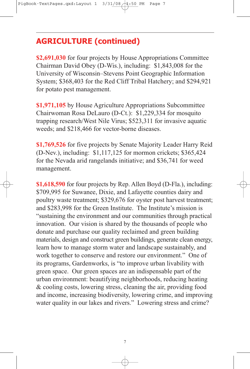**\$2,691,030** for four projects by House Appropriations Committee Chairman David Obey (D-Wis.), including: \$1,843,008 for the University of Wisconsin–Stevens Point Geographic Information System; \$368,403 for the Red Cliff Tribal Hatchery; and \$294,921 for potato pest management.

**\$1,971,105** by House Agriculture Appropriations Subcommittee Chairwoman Rosa DeLauro (D-Ct.): \$1,229,334 for mosquito trapping research/West Nile Virus; \$523,311 for invasive aquatic weeds; and \$218,466 for vector-borne diseases.

**\$1,769,526** for five projects by Senate Majority Leader Harry Reid (D-Nev.), including: \$1,117,125 for mormon crickets; \$365,424 for the Nevada arid rangelands initiative; and \$36,741 for weed management.

**\$1,618,590** for four projects by Rep. Allen Boyd (D-Fla.), including: \$709,995 for Suwanee, Dixie, and Lafayette counties dairy and poultry waste treatment; \$329,676 for oyster post harvest treatment; and \$283,998 for the Green Institute. The Institute's mission is "sustaining the environment and our communities through practical innovation. Our vision is shared by the thousands of people who donate and purchase our quality reclaimed and green building materials, design and construct green buildings, generate clean energy, learn how to manage storm water and landscape sustainably, and work together to conserve and restore our environment." One of its programs, Gardenworks, is "to improve urban livability with green space. Our green spaces are an indispensable part of the urban environment: beautifying neighborhoods, reducing heating & cooling costs, lowering stress, cleaning the air, providing food and income, increasing biodiversity, lowering crime, and improving water quality in our lakes and rivers." Lowering stress and crime?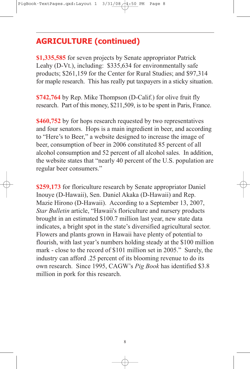**\$1,335,585** for seven projects by Senate appropriator Patrick Leahy (D-Vt.), including: \$335,634 for environmentally safe products; \$261,159 for the Center for Rural Studies; and \$97,314 for maple research. This has really put taxpayers in a sticky situation.

**\$742,764** by Rep. Mike Thompson (D-Calif.) for olive fruit fly research. Part of this money, \$211,509, is to be spent in Paris, France.

**\$460,752** by for hops research requested by two representatives and four senators. Hops is a main ingredient in beer, and according to "Here's to Beer," a website designed to increase the image of beer, consumption of beer in 2006 constituted 85 percent of all alcohol consumption and 52 percent of all alcohol sales. In addition, the website states that "nearly 40 percent of the U.S. population are regular beer consumers."

**\$259,173** for floriculture research by Senate appropriator Daniel Inouye (D-Hawaii), Sen. Daniel Akaka (D-Hawaii) and Rep. Mazie Hirono (D-Hawaii). According to a September 13, 2007, *Star Bulletin* article, "Hawaii's floriculture and nursery products brought in an estimated \$100.7 million last year, new state data indicates, a bright spot in the state's diversified agricultural sector. Flowers and plants grown in Hawaii have plenty of potential to flourish, with last year's numbers holding steady at the \$100 million mark - close to the record of \$101 million set in 2005." Surely, the industry can afford .25 percent of its blooming revenue to do its own research. Since 1995, CAGW's *Pig Book* has identified \$3.8 million in pork for this research.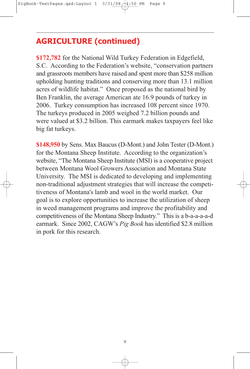**\$172,782** for the National Wild Turkey Federation in Edgefield, S.C. According to the Federation's website, "conservation partners and grassroots members have raised and spent more than \$258 million upholding hunting traditions and conserving more than 13.1 million acres of wildlife habitat." Once proposed as the national bird by Ben Franklin, the average American ate 16.9 pounds of turkey in 2006. Turkey consumption has increased 108 percent since 1970. The turkeys produced in 2005 weighed 7.2 billion pounds and were valued at \$3.2 billion. This earmark makes taxpayers feel like big fat turkeys.

**\$148,950** by Sens. Max Baucus (D-Mont.) and John Tester (D-Mont.) for the Montana Sheep Institute. According to the organization's website, "The Montana Sheep Institute (MSI) is a cooperative project between Montana Wool Growers Association and Montana State University. The MSI is dedicated to developing and implementing non-traditional adjustment strategies that will increase the competitiveness of Montana's lamb and wool in the world market. Our goal is to explore opportunities to increase the utilization of sheep in weed management programs and improve the profitability and competitiveness of the Montana Sheep Industry." This is a b-a-a-a-a-d earmark. Since 2002, CAGW's *Pig Book* has identified \$2.8 million in pork for this research.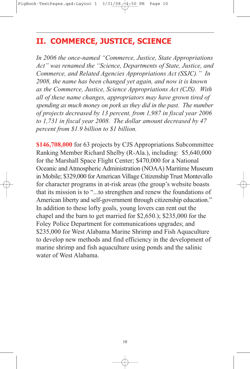#### **II. COMMERCE, JUSTICE, SCIENCE**

*In 2006 the once-named "Commerce, Justice, State Appropriations Act" was renamed the "Science, Departments of State, Justice, and Commerce, and Related Agencies Appropriations Act (SSJC)." In 2008, the name has been changed yet again, and now it is known as the Commerce, Justice, Science Appropriations Act (CJS). With all of these name changes, appropriators may have grown tired of spending as much money on pork as they did in the past. The number of projects decreased by 13 percent, from 1,987 in fiscal year 2006 to 1,731 in fiscal year 2008. The dollar amount decreased by 47 percent from \$1.9 billion to \$1 billion.*

**\$146,708,000** for 63 projects by CJS Appropriations Subcommittee Ranking Member Richard Shelby (R-Ala.), including: \$5,640,000 for the Marshall Space Flight Center; \$470,000 for a National Oceanic and Atmospheric Administration (NOAA) Maritime Museum in Mobile; \$329,000 forAmerican Village Citizenship Trust Montevallo for character programs in at-risk areas (the group's website boasts that its mission is to "...to strengthen and renew the foundations of American liberty and self-government through citizenship education." In addition to these lofty goals, young lovers can rent out the chapel and the barn to get married for \$2,650.); \$235,000 for the Foley Police Department for communications upgrades; and \$235,000 for West Alabama Marine Shrimp and Fish Aquaculture to develop new methods and find efficiency in the development of marine shrimp and fish aquaculture using ponds and the salinic water of West Alabama.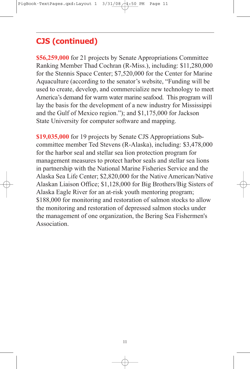**\$56,259,000** for 21 projects by Senate Appropriations Committee Ranking Member Thad Cochran (R-Miss.), including: \$11,280,000 for the Stennis Space Center; \$7,520,000 for the Center for Marine Aquaculture (according to the senator's website, "Funding will be used to create, develop, and commercialize new technology to meet America's demand for warm water marine seafood. This program will lay the basis for the development of a new industry for Mississippi and the Gulf of Mexico region."); and \$1,175,000 for Jackson State University for computer software and mapping.

**\$19,035,000** for 19 projects by Senate CJS Appropriations Subcommittee member Ted Stevens (R-Alaska), including: \$3,478,000 for the harbor seal and stellar sea lion protection program for management measures to protect harbor seals and stellar sea lions in partnership with the National Marine Fisheries Service and the Alaska Sea Life Center; \$2,820,000 for the Native American/Native Alaskan Liaison Office; \$1,128,000 for Big Brothers/Big Sisters of Alaska Eagle River for an at-risk youth mentoring program; \$188,000 for monitoring and restoration of salmon stocks to allow the monitoring and restoration of depressed salmon stocks under the management of one organization, the Bering Sea Fishermen's Association.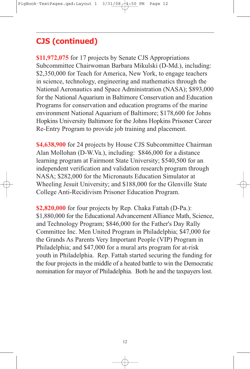**\$11,972,075** for 17 projects by Senate CJS Appropriations Subcommittee Chairwoman Barbara Mikulski (D-Md.), including: \$2,350,000 for Teach for America, New York, to engage teachers in science, technology, engineering and mathematics through the National Aeronautics and Space Administration (NASA); \$893,000 for the National Aquarium in Baltimore Conservation and Education Programs for conservation and education programs of the marine environment National Aquarium of Baltimore; \$178,600 for Johns Hopkins University Baltimore for the Johns Hopkins Prisoner Career Re-Entry Program to provide job training and placement.

**\$4,638,900** for 24 projects by House CJS Subcommittee Chairman Alan Mollohan (D-W.Va.), including: \$846,000 for a distance learning program at Fairmont State University; \$540,500 for an independent verification and validation research program through NASA; \$282,000 for the Micronauts Education Simulator at Wheeling Jesuit University; and \$188,000 for the Glenville State College Anti-Recidivism Prisoner Education Program.

**\$2,820,000** for four projects by Rep. Chaka Fattah (D-Pa.): \$1,880,000 for the Educational Advancement Alliance Math, Science, and Technology Program; \$846,000 for the Father's Day Rally Committee Inc. Men United Program in Philadelphia; \$47,000 for the Grands As Parents Very Important People (VIP) Program in Philadelphia; and \$47,000 for a mural arts program for at-risk youth in Philadelphia. Rep. Fattah started securing the funding for the four projects in the middle of a heated battle to win the Democratic nomination for mayor of Philadelphia. Both he and the taxpayers lost.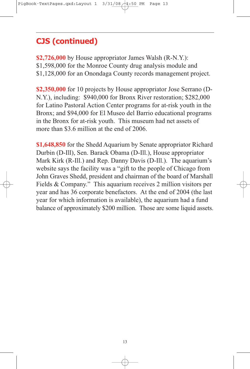**\$2,726,000** by House appropriator James Walsh (R-N.Y.): \$1,598,000 for the Monroe County drug analysis module and \$1,128,000 for an Onondaga County records management project.

**\$2,350,000** for 10 projects by House appropriator Jose Serrano (D-N.Y.), including: \$940,000 for Bronx River restoration; \$282,000 for Latino Pastoral Action Center programs for at-risk youth in the Bronx; and \$94,000 for El Museo del Barrio educational programs in the Bronx for at-risk youth. This museum had net assets of more than \$3.6 million at the end of 2006.

**\$1,648,850** for the Shedd Aquarium by Senate appropriator Richard Durbin (D-Ill), Sen. Barack Obama (D-Ill.), House appropriator Mark Kirk (R-Ill.) and Rep. Danny Davis (D-Ill.). The aquarium's website says the facility was a "gift to the people of Chicago from John Graves Shedd, president and chairman of the board of Marshall Fields & Company." This aquarium receives 2 million visitors per year and has 36 corporate benefactors. At the end of 2004 (the last year for which information is available), the aquarium had a fund balance of approximately \$200 million. Those are some liquid assets.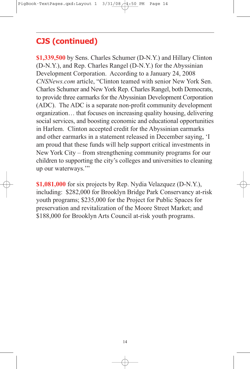**\$1,339,500** by Sens. Charles Schumer (D-N.Y.) and Hillary Clinton (D-N.Y.), and Rep. Charles Rangel (D-N.Y.) for the Abyssinian Development Corporation. According to a January 24, 2008 *CNSNews.com* article, "Clinton teamed with senior New York Sen. Charles Schumer and New York Rep. Charles Rangel, both Democrats, to provide three earmarks for the Abyssinian Development Corporation (ADC). The ADC is a separate non-profit community development organization… that focuses on increasing quality housing, delivering social services, and boosting economic and educational opportunities in Harlem. Clinton accepted credit for the Abyssinian earmarks and other earmarks in a statement released in December saying, 'I am proud that these funds will help support critical investments in New York City – from strengthening community programs for our children to supporting the city's colleges and universities to cleaning up our waterways."

**\$1,081,000** for six projects by Rep. Nydia Velazquez (D-N.Y.), including: \$282,000 for Brooklyn Bridge Park Conservancy at-risk youth programs; \$235,000 for the Project for Public Spaces for preservation and revitalization of the Moore Street Market; and \$188,000 for Brooklyn Arts Council at-risk youth programs.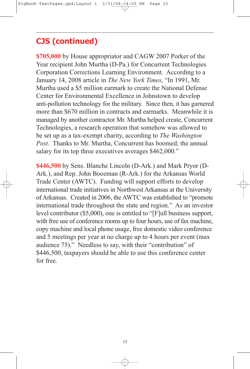**\$705,000** by House appropriator and CAGW 2007 Porker of the Year recipient John Murtha (D-Pa.) for Concurrent Technologies Corporation Corrections Learning Environment. According to a January 14, 2008 article in *The New York Times*, "In 1991, Mr. Murtha used a \$5 million earmark to create the National Defense Center for Environmental Excellence in Johnstown to develop anti-pollution technology for the military. Since then, it has garnered more than \$670 million in contracts and earmarks. Meanwhile it is managed by another contractor Mr. Murtha helped create, Concurrent Technologies, a research operation that somehow was allowed to be set up as a tax-exempt charity, according to *The Washington Post*. Thanks to Mr. Murtha, Concurrent has boomed; the annual salary for its top three executives averages \$462,000."

**\$446,500** by Sens. Blanche Lincoln (D-Ark.) and Mark Pryor (D-Ark.), and Rep. John Boozman (R-Ark.) for the Arkansas World Trade Center (AWTC). Funding will support efforts to develop international trade initiatives in Northwest Arkansas at the University of Arkansas. Created in 2006, the AWTC was established to "promote international trade throughout the state and region." As an investor level contributor (\$5,000), one is entitled to "[F]ull business support, with free use of conference rooms up to four hours, use of fax machine, copy machine and local phone usage, free domestic video conference and 5 meetings per year at no charge up to 4 hours per event (max audience 75)." Needless to say, with their "contribution" of \$446,500, taxpayers should be able to use this conference center for free.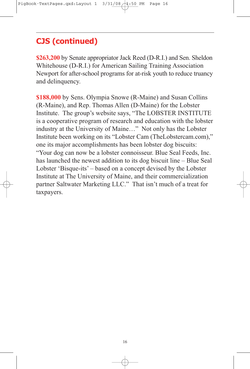**\$263,200** by Senate appropriator Jack Reed (D-R.I.) and Sen. Sheldon Whitehouse (D-R.I.) for American Sailing Training Association Newport for after-school programs for at-risk youth to reduce truancy and delinquency.

**\$188,000** by Sens. Olympia Snowe (R-Maine) and Susan Collins (R-Maine), and Rep. Thomas Allen (D-Maine) for the Lobster Institute. The group's website says, "The LOBSTER INSTITUTE is a cooperative program of research and education with the lobster industry at the University of Maine…" Not only has the Lobster Institute been working on its "Lobster Cam (TheLobstercam.com)," one its major accomplishments has been lobster dog biscuits: "Your dog can now be a lobster connoisseur. Blue Seal Feeds, Inc. has launched the newest addition to its dog biscuit line – Blue Seal Lobster 'Bisque-its' – based on a concept devised by the Lobster Institute at The University of Maine, and their commercialization partner Saltwater Marketing LLC." That isn't much of a treat for taxpayers.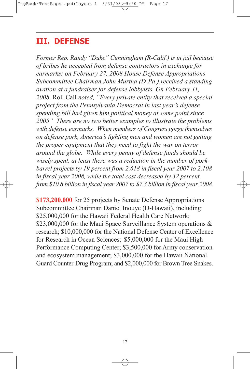#### **III. DEFENSE**

*Former Rep. Randy "Duke" Cunningham (R-Calif.) is in jail because of bribes he accepted from defense contractors in exchange for earmarks; on February 27, 2008 House Defense Appropriations Subcommittee Chairman John Murtha (D-Pa.) received a standing ovation at a fundraiser for defense lobbyists. On February 11, 2008,* Roll Call *noted, "Every private entity that received a special project from the Pennsylvania Democrat in last year's defense spending bill had given him political money at some point since 2005" There are no two better examples to illustrate the problems with defense earmarks. When members of Congress gorge themselves on defense pork, America's fighting men and women are not getting the proper equipment that they need to fight the war on terror around the globe. While every penny of defense funds should be wisely spent, at least there was a reduction in the number of porkbarrel projects by 19 percent from 2,618 in fiscal year 2007 to 2,108 in fiscal year 2008, while the total cost decreased by 32 percent, from \$10.8 billion in fiscal year 2007 to \$7.3 billion in fiscal year 2008.*

**\$173,200,000** for 25 projects by Senate Defense Appropriations Subcommittee Chairman Daniel Inouye (D-Hawaii), including: \$25,000,000 for the Hawaii Federal Health Care Network; \$23,000,000 for the Maui Space Surveillance System operations & research; \$10,000,000 for the National Defense Center of Excellence for Research in Ocean Sciences; \$5,000,000 for the Maui High Performance Computing Center; \$3,500,000 for Army conservation and ecosystem management; \$3,000,000 for the Hawaii National Guard Counter-Drug Program; and \$2,000,000 for Brown Tree Snakes.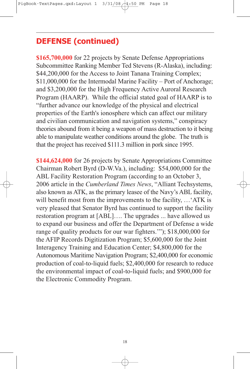**\$165,700,000** for 22 projects by Senate Defense Appropriations Subcommittee Ranking Member Ted Stevens (R-Alaska), including: \$44,200,000 for the Access to Joint Tanana Training Complex; \$11,000,000 for the Intermodal Marine Facility – Port of Anchorage; and \$3,200,000 for the High Frequency Active Auroral Research Program (HAARP). While the official stated goal of HAARP is to "further advance our knowledge of the physical and electrical properties of the Earth's ionosphere which can affect our military and civilian communication and navigation systems," conspiracy theories abound from it being a weapon of mass destruction to it being able to manipulate weather conditions around the globe. The truth is that the project has received \$111.3 million in pork since 1995.

**\$144,624,000** for 26 projects by Senate Appropriations Committee Chairman Robert Byrd (D-W.Va.), including: \$54,000,000 for the ABL Facility Restoration Program (according to an October 3, 2006 article in the *Cumberland Times News*, "Alliant Techsystems, also known as ATK, as the primary leasee of the Navy's ABL facility, will benefit most from the improvements to the facility, ... 'ATK is very pleased that Senator Byrd has continued to support the facility restoration program at [ABL]…. The upgrades ... have allowed us to expand our business and offer the Department of Defense a wide range of quality products for our war fighters.'"); \$18,000,000 for the AFIP Records Digitization Program; \$5,600,000 for the Joint Interagency Training and Education Center; \$4,800,000 for the Autonomous Maritime Navigation Program; \$2,400,000 for economic production of coal-to-liquid fuels; \$2,400,000 for research to reduce the environmental impact of coal-to-liquid fuels; and \$900,000 for the Electronic Commodity Program.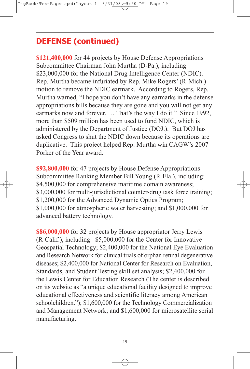**\$121,400,000** for 44 projects by House Defense Appropriations Subcommittee Chairman John Murtha (D-Pa.), including \$23,000,000 for the National Drug Intelligence Center (NDIC). Rep. Murtha became infuriated by Rep. Mike Rogers' (R-Mich.) motion to remove the NDIC earmark. According to Rogers, Rep. Murtha warned, "I hope you don't have any earmarks in the defense appropriations bills because they are gone and you will not get any earmarks now and forever. … That's the way I do it." Since 1992, more than \$509 million has been used to fund NDIC, which is administered by the Department of Justice (DOJ.). But DOJ has asked Congress to shut the NDIC down because its operations are duplicative. This project helped Rep. Murtha win CAGW's 2007 Porker of the Year award.

**\$92,800,000** for 47 projects by House Defense Appropriations Subcommittee Ranking Member Bill Young (R-Fla.), including: \$4,500,000 for comprehensive maritime domain awareness; \$3,000,000 for multi-jurisdictional counter-drug task force training; \$1,200,000 for the Advanced Dynamic Optics Program; \$1,000,000 for atmospheric water harvesting; and \$1,000,000 for advanced battery technology.

**\$86,000,000** for 32 projects by House appropriator Jerry Lewis (R-Calif.), including: \$5,000,000 for the Center for Innovative Geospatial Technology; \$2,400,000 for the National Eye Evaluation and Research Network for clinical trials of orphan retinal degenerative diseases; \$2,400,000 for National Center for Research on Evaluation, Standards, and Student Testing skill set analysis; \$2,400,000 for the Lewis Center for Education Research (The center is described on its website as "a unique educational facility designed to improve educational effectiveness and scientific literacy among American schoolchildren."); \$1,600,000 for the Technology Commercialization and Management Network; and \$1,600,000 for microsatellite serial manufacturing.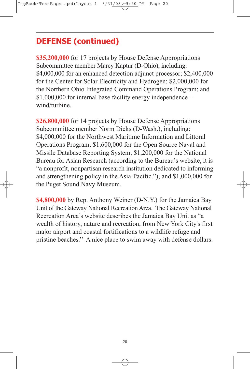**\$35,200,000** for 17 projects by House Defense Appropriations Subcommittee member Marcy Kaptur (D-Ohio), including: \$4,000,000 for an enhanced detection adjunct processor; \$2,400,000 for the Center for Solar Electricity and Hydrogen; \$2,000,000 for the Northern Ohio Integrated Command Operations Program; and \$1,000,000 for internal base facility energy independence – wind/turbine.

**\$26,800,000** for 14 projects by House Defense Appropriations Subcommittee member Norm Dicks (D-Wash.), including: \$4,000,000 for the Northwest Maritime Information and Littoral Operations Program; \$1,600,000 for the Open Source Naval and Missile Database Reporting System; \$1,200,000 for the National Bureau for Asian Research (according to the Bureau's website, it is "a nonprofit, nonpartisan research institution dedicated to informing and strengthening policy in the Asia-Pacific."); and \$1,000,000 for the Puget Sound Navy Museum.

**\$4,800,000** by Rep. Anthony Weiner (D-N.Y.) for the Jamaica Bay Unit of the Gateway National Recreation Area. The Gateway National Recreation Area's website describes the Jamaica Bay Unit as "a wealth of history, nature and recreation, from New York City's first major airport and coastal fortifications to a wildlife refuge and pristine beaches." A nice place to swim away with defense dollars.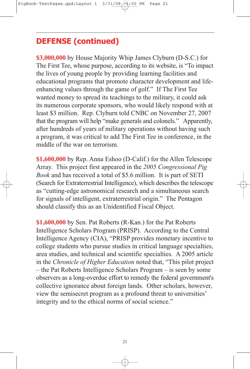**\$3,000,000** by House Majority Whip James Clyburn (D-S.C.) for The First Tee, whose purpose, according to its website, is "To impact the lives of young people by providing learning facilities and educational programs that promote character development and lifeenhancing values through the game of golf." If The First Tee wanted money to spread its teachings to the military, it could ask its numerous corporate sponsors, who would likely respond with at least \$3 million. Rep. Clyburn told CNBC on November 27, 2007 that the program will help "make generals and colonels." Apparently, after hundreds of years of military operations without having such a program, it was critical to add The First Tee in conference, in the middle of the war on terrorism.

**\$1,600,000** by Rep. Anna Eshoo (D-Calif.) for the Allen Telescope Array. This project first appeared in the *2005 Congressional Pig Book* and has received a total of \$5.6 million. It is part of SETI (Search for Extraterrestrial Intelligence), which describes the telescope as "cutting-edge astronomical research and a simultaneous search for signals of intelligent, extraterrestrial origin." The Pentagon should classify this as an Unidentified Fiscal Object.

**\$1,600,000** by Sen. Pat Roberts (R-Kan.) for the Pat Roberts Intelligence Scholars Program (PRISP). According to the Central Intelligence Agency (CIA), "PRISP provides monetary incentive to college students who pursue studies in critical language specialties, area studies, and technical and scientific specialties. A 2005 article in the *Chronicle of Higher Education* noted that, "This pilot project – the Pat Roberts Intelligence Scholars Program – is seen by some observers as a long-overdue effort to remedy the federal government's collective ignorance about foreign lands. Other scholars, however, view the semisecret program as a profound threat to universities' integrity and to the ethical norms of social science."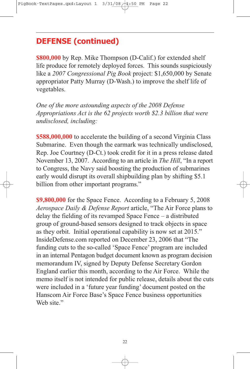**\$800,000** by Rep. Mike Thompson (D-Calif.) for extended shelf life produce for remotely deployed forces. This sounds suspiciously like a *2007 Congressional Pig Book* project: \$1,650,000 by Senate appropriator Patty Murray (D-Wash.) to improve the shelf life of vegetables.

*One of the more astounding aspects of the 2008 Defense Appropriations Act is the 62 projects worth \$2.3 billion that were undisclosed, including:*

**\$588,000,000** to accelerate the building of a second Virginia Class Submarine. Even though the earmark was technically undisclosed, Rep. Joe Courtney (D-Ct.) took credit for it in a press release dated November 13, 2007. According to an article in *The Hill*, "In a report to Congress, the Navy said boosting the production of submarines early would disrupt its overall shipbuilding plan by shifting \$5.1 billion from other important programs."

**\$9,800,000** for the Space Fence. According to a February 5, 2008 *Aerospace Daily & Defense Report* article, "The Air Force plans to delay the fielding of its revamped Space Fence – a distributed group of ground-based sensors designed to track objects in space as they orbit. Initial operational capability is now set at 2015." InsideDefense.com reported on December 23, 2006 that "The funding cuts to the so-called 'Space Fence' program are included in an internal Pentagon budget document known as program decision memorandum IV, signed by Deputy Defense Secretary Gordon England earlier this month, according to the Air Force. While the memo itself is not intended for public release, details about the cuts were included in a 'future year funding' document posted on the Hanscom Air Force Base's Space Fence business opportunities Web site."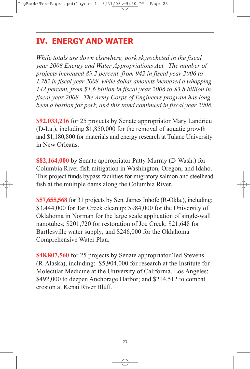# **IV. ENERGY AND WATER**

*While totals are down elsewhere, pork skyrocketed in the fiscal year 2008 Energy and Water Appropriations Act. The number of projects increased 89.2 percent, from 942 in fiscal year 2006 to 1,782 in fiscal year 2008, while dollar amounts increased a whopping 142 percent, from \$1.6 billion in fiscal year 2006 to \$3.8 billion in fiscal year 2008. The Army Corps of Engineers program has long been a bastion for pork, and this trend continued in fiscal year 2008.*

**\$92,033,216** for 25 projects by Senate appropriator Mary Landrieu (D-La.), including \$1,850,000 for the removal of aquatic growth and \$1,180,800 for materials and energy research at Tulane University in New Orleans.

**\$82,164,000** by Senate appropriator Patty Murray (D-Wash.) for Columbia River fish mitigation in Washington, Oregon, and Idaho. This project funds bypass facilities for migratory salmon and steelhead fish at the multiple dams along the Columbia River.

**\$57,655,568** for 31 projects by Sen. James Inhofe (R-Okla.), including: \$3,444,000 for Tar Creek cleanup; \$984,000 for the University of Oklahoma in Norman for the large scale application of single-wall nanotubes; \$201,720 for restoration of Joe Creek; \$21,648 for Bartlesville water supply; and \$246,000 for the Oklahoma Comprehensive Water Plan.

**\$48,807,560** for 25 projects by Senate appropriator Ted Stevens (R-Alaska), including: \$5,904,000 for research at the Institute for Molecular Medicine at the University of California, Los Angeles; \$492,000 to deepen Anchorage Harbor; and \$214,512 to combat erosion at Kenai River Bluff.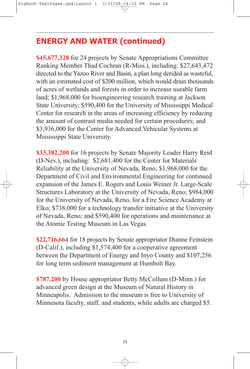# **ENERGY AND WATER (continued)**

**\$45,677,328** for 24 projects by Senate Appropriations Committee Ranking Member Thad Cochran (R-Miss.), including: \$27,643,472 directed to the Yazoo River and Basin, a plan long derided as wasteful, with an estimated cost of \$200 million, which would drain thousands of acres of wetlands and forests in order to increase useable farm land; \$1,968,000 for bioengineering research training at Jackson State University; \$590,400 for the University of Mississippi Medical Center for research in the areas of increasing efficiency by reducing the amount of contrast media needed for certain procedures; and \$3,936,000 for the Center for Advanced Vehicular Systems at Mississippi State University.

**\$33,382,200** for 16 projects by Senate Majority Leader Harry Reid (D-Nev.), including: \$2,681,400 for the Center for Materials Reliability at the University of Nevada, Reno; \$1,968,000 for the Department of Civil and Environmental Engineering for continued expansion of the James E. Rogers and Louis Weiner Jr. Large-Scale Structures Laboratory at the University of Nevada, Reno; \$984,000 for the University of Nevada, Reno, for a Fire Science Academy at Elko; \$738,000 for a technology transfer initiative at the University of Nevada, Reno; and \$590,400 for operations and maintenance at the Atomic Testing Museum in Las Vegas.

**\$22,716,664** for 18 projects by Senate appropriator Dianne Feinstein (D-Calif.), including \$1,574,400 for a cooperative agreement between the Department of Energy and Inyo County and \$107,256 for long term sediment management at Humbolt Bay.

**\$787,200** by House appropriator Betty McCollum (D-Minn.) for advanced green design at the Museum of Natural History in Minneapolis. Admission to the museum is free to University of Minnesota faculty, staff, and students, while adults are charged \$5.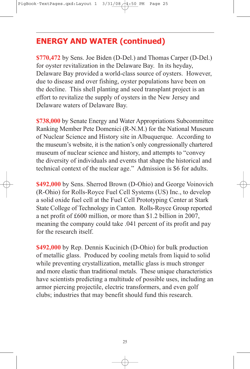# **ENERGY AND WATER (continued)**

**\$770,472** by Sens. Joe Biden (D-Del.) and Thomas Carper (D-Del.) for oyster revitalization in the Delaware Bay. In its heyday, Delaware Bay provided a world-class source of oysters. However, due to disease and over fishing, oyster populations have been on the decline. This shell planting and seed transplant project is an effort to revitalize the supply of oysters in the New Jersey and Delaware waters of Delaware Bay.

**\$738,000** by Senate Energy and Water Appropriations Subcommittee Ranking Member Pete Domenici (R-N.M.) for the National Museum of Nuclear Science and History site in Albuquerque. According to the museum's website, it is the nation's only congressionally chartered museum of nuclear science and history, and attempts to "convey the diversity of individuals and events that shape the historical and technical context of the nuclear age." Admission is \$6 for adults.

**\$492,000** by Sens. Sherrod Brown (D-Ohio) and George Voinovich (R-Ohio) for Rolls-Royce Fuel Cell Systems (US) Inc., to develop a solid oxide fuel cell at the Fuel Cell Prototyping Center at Stark State College of Technology in Canton. Rolls-Royce Group reported a net profit of £600 million, or more than \$1.2 billion in 2007, meaning the company could take .041 percent of its profit and pay for the research itself.

**\$492,000** by Rep. Dennis Kucinich (D-Ohio) for bulk production of metallic glass. Produced by cooling metals from liquid to solid while preventing crystallization, metallic glass is much stronger and more elastic than traditional metals. These unique characteristics have scientists predicting a multitude of possible uses, including an armor piercing projectile, electric transformers, and even golf clubs; industries that may benefit should fund this research.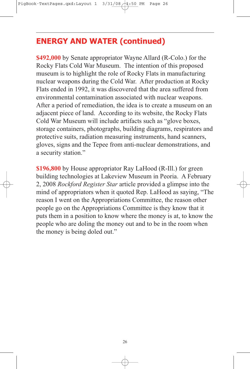# **ENERGY AND WATER (continued)**

**\$492,000** by Senate appropriator Wayne Allard (R-Colo.) for the Rocky Flats Cold War Museum. The intention of this proposed museum is to highlight the role of Rocky Flats in manufacturing nuclear weapons during the Cold War. After production at Rocky Flats ended in 1992, it was discovered that the area suffered from environmental contamination associated with nuclear weapons. After a period of remediation, the idea is to create a museum on an adjacent piece of land. According to its website, the Rocky Flats Cold War Museum will include artifacts such as "glove boxes, storage containers, photographs, building diagrams, respirators and protective suits, radiation measuring instruments, hand scanners, gloves, signs and the Tepee from anti-nuclear demonstrations, and a security station."

**\$196,800** by House appropriator Ray LaHood (R-Ill.) for green building technologies at Lakeview Museum in Peoria. A February 2, 2008 *Rockford Register Star* article provided a glimpse into the mind of appropriators when it quoted Rep. LaHood as saying, "The reason I went on the Appropriations Committee, the reason other people go on the Appropriations Committee is they know that it puts them in a position to know where the money is at, to know the people who are doling the money out and to be in the room when the money is being doled out."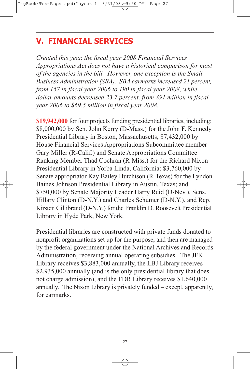#### **V. FINANCIAL SERVICES**

*Created this year, the fiscal year 2008 Financial Services Appropriations Act does not have a historical comparison for most of the agencies in the bill. However, one exception is the Small Business Administration (SBA). SBA earmarks increased 21 percent, from 157 in fiscal year 2006 to 190 in fiscal year 2008, while dollar amounts decreased 23.7 percent, from \$91 million in fiscal year 2006 to \$69.5 million in fiscal year 2008.*

**\$19,942,000** for four projects funding presidential libraries, including: \$8,000,000 by Sen. John Kerry (D-Mass.) for the John F. Kennedy Presidential Library in Boston, Massachusetts; \$7,432,000 by House Financial Services Appropriations Subcommittee member Gary Miller (R-Calif.) and Senate Appropriations Committee Ranking Member Thad Cochran (R-Miss.) for the Richard Nixon Presidential Library in Yorba Linda, California; \$3,760,000 by Senate appropriator Kay Bailey Hutchison (R-Texas) for the Lyndon Baines Johnson Presidential Library in Austin, Texas; and \$750,000 by Senate Majority Leader Harry Reid (D-Nev.), Sens. Hillary Clinton (D-N.Y.) and Charles Schumer (D-N.Y.), and Rep. Kirsten Gillibrand (D-N.Y.) for the Franklin D. Roosevelt Presidential Library in Hyde Park, New York.

Presidential libraries are constructed with private funds donated to nonprofit organizations set up for the purpose, and then are managed by the federal government under the National Archives and Records Administration, receiving annual operating subsidies. The JFK Library receives \$3,883,000 annually, the LBJ Library receives \$2,935,000 annually (and is the only presidential library that does not charge admission), and the FDR Library receives \$1,640,000 annually. The Nixon Library is privately funded – except, apparently, for earmarks.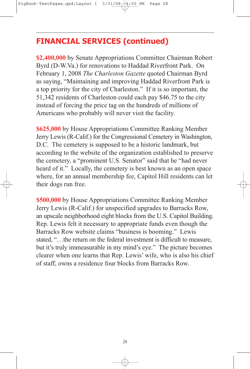### **FINANCIAL SERVICES (continued)**

**\$2,400,000** by Senate Appropriations Committee Chairman Robert Byrd (D-W.Va.) for renovations to Haddad Riverfront Park. On February 1, 2008 *The Charleston Gazette* quoted Chairman Byrd as saying, "Maintaining and improving Haddad Riverfront Park is a top priority for the city of Charleston." If it is so important, the 51,342 residents of Charleston could each pay \$46.75 to the city instead of forcing the price tag on the hundreds of millions of Americans who probably will never visit the facility.

**\$625,000** by House Appropriations Committee Ranking Member Jerry Lewis (R-Calif.) for the Congressional Cemetery in Washington, D.C. The cemetery is supposed to be a historic landmark, but according to the website of the organization established to preserve the cemetery, a "prominent U.S. Senator" said that he "had never heard of it." Locally, the cemetery is best known as an open space where, for an annual membership fee, Capitol Hill residents can let their dogs run free.

**\$500,000** by House Appropriations Committee Ranking Member Jerry Lewis (R-Calif.) for unspecified upgrades to Barracks Row, an upscale neighborhood eight blocks from the U.S. Capitol Building. Rep. Lewis felt it necessary to appropriate funds even though the Barracks Row website claims "business is booming." Lewis stated, "…the return on the federal investment is difficult to measure, but it's truly immeasurable in my mind's eye." The picture becomes clearer when one learns that Rep. Lewis' wife, who is also his chief of staff, owns a residence four blocks from Barracks Row.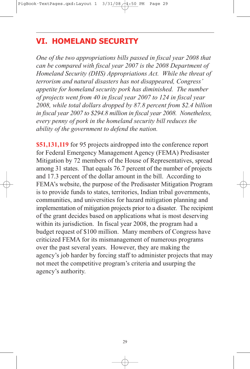### **VI. HOMELAND SECURITY**

*One of the two appropriations bills passed in fiscal year 2008 that can be compared with fiscal year 2007 is the 2008 Department of Homeland Security (DHS) Appropriations Act. While the threat of terrorism and natural disasters has not disappeared, Congress' appetite for homeland security pork has diminished. The number of projects went from 40 in fiscal year 2007 to 124 in fiscal year 2008, while total dollars dropped by 87.8 percent from \$2.4 billion in fiscal year 2007 to \$294.8 million in fiscal year 2008. Nonetheless, every penny of pork in the homeland security bill reduces the ability of the government to defend the nation.*

**\$51,131,119** for 95 projects airdropped into the conference report for Federal Emergency Management Agency (FEMA) Predisaster Mitigation by 72 members of the House of Representatives, spread among 31 states. That equals 76.7 percent of the number of projects and 17.3 percent of the dollar amount in the bill. According to FEMA's website, the purpose of the Predisaster Mitigation Program is to provide funds to states, territories, Indian tribal governments, communities, and universities for hazard mitigation planning and implementation of mitigation projects prior to a disaster. The recipient of the grant decides based on applications what is most deserving within its jurisdiction. In fiscal year 2008, the program had a budget request of \$100 million. Many members of Congress have criticized FEMA for its mismanagement of numerous programs over the past several years. However, they are making the agency's job harder by forcing staff to administer projects that may not meet the competitive program's criteria and usurping the agency's authority.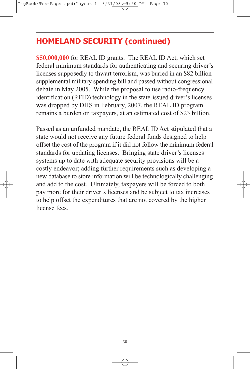# **HOMELAND SECURITY (continued)**

**\$50,000,000** for REAL ID grants. The REAL ID Act, which set federal minimum standards for authenticating and securing driver's licenses supposedly to thwart terrorism, was buried in an \$82 billion supplemental military spending bill and passed without congressional debate in May 2005. While the proposal to use radio-frequency identification (RFID) technology in the state-issued driver's licenses was dropped by DHS in February, 2007, the REAL ID program remains a burden on taxpayers, at an estimated cost of \$23 billion.

Passed as an unfunded mandate, the REAL ID Act stipulated that a state would not receive any future federal funds designed to help offset the cost of the program if it did not follow the minimum federal standards for updating licenses. Bringing state driver's licenses systems up to date with adequate security provisions will be a costly endeavor; adding further requirements such as developing a new database to store information will be technologically challenging and add to the cost. Ultimately, taxpayers will be forced to both pay more for their driver's licenses and be subject to tax increases to help offset the expenditures that are not covered by the higher license fees.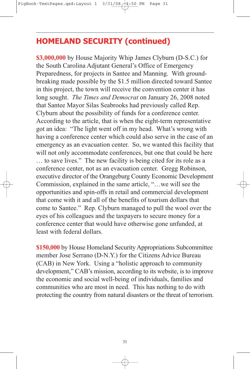#### **HOMELAND SECURITY (continued)**

**\$3,000,000** by House Majority Whip James Clyburn (D-S.C.) for the South Carolina Adjutant General's Office of Emergency Preparedness, for projects in Santee and Manning. With groundbreaking made possible by the \$1.5 million directed toward Santee in this project, the town will receive the convention center it has long sought. *The Times and Democrat* on January 26, 2008 noted that Santee Mayor Silas Seabrooks had previously called Rep. Clyburn about the possibility of funds for a conference center. According to the article, that is when the eight-term representative got an idea: "The light went off in my head. What's wrong with having a conference center which could also serve in the case of an emergency as an evacuation center. So, we wanted this facility that will not only accommodate conferences, but one that could be here … to save lives." The new facility is being cited for its role as a conference center, not as an evacuation center. Gregg Robinson, executive director of the Orangeburg County Economic Development Commission, explained in the same article, "…we will see the opportunities and spin-offs in retail and commercial development that come with it and all of the benefits of tourism dollars that come to Santee." Rep. Clyburn managed to pull the wool over the eyes of his colleagues and the taxpayers to secure money for a conference center that would have otherwise gone unfunded, at least with federal dollars.

**\$150,000** by House Homeland Security Appropriations Subcommittee member Jose Serrano (D-N.Y.) for the Citizens Advice Bureau (CAB) in New York. Using a "holistic approach to community development," CAB's mission, according to its website, is to improve the economic and social well-being of individuals, families and communities who are most in need. This has nothing to do with protecting the country from natural disasters or the threat of terrorism.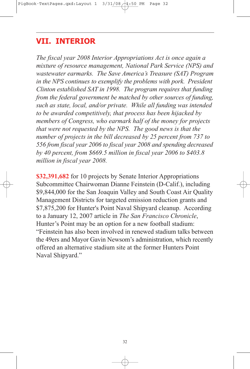#### **VII. INTERIOR**

*The fiscal year 2008 Interior Appropriations Act is once again a mixture of resource management, National Park Service (NPS) and wastewater earmarks. The Save America's Treasure (SAT) Program in the NPS continues to exemplify the problems with pork. President Clinton established SAT in 1998. The program requires that funding from the federal government be matched by other sources of funding, such as state, local, and/or private. While all funding was intended to be awarded competitively, that process has been hijacked by members of Congress, who earmark half of the money for projects that were not requested by the NPS. The good news is that the number of projects in the bill decreased by 25 percent from 737 to 556 from fiscal year 2006 to fiscal year 2008 and spending decreased by 40 percent, from \$669.5 million in fiscal year 2006 to \$403.8 million in fiscal year 2008.*

**\$32,391,682** for 10 projects by Senate Interior Appropriations Subcommittee Chairwoman Dianne Feinstein (D-Calif.), including \$9,844,000 for the San Joaquin Valley and South Coast Air Quality Management Districts for targeted emission reduction grants and \$7,875,200 for Hunter's Point Naval Shipyard cleanup. According to a January 12, 2007 article in *The San Francisco Chronicle*, Hunter's Point may be an option for a new football stadium: "Feinstein has also been involved in renewed stadium talks between the 49ers and Mayor Gavin Newsom's administration, which recently offered an alternative stadium site at the former Hunters Point Naval Shipyard."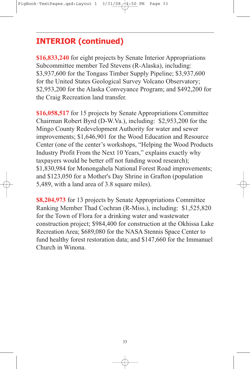# **INTERIOR (continued)**

**\$16,833,240** for eight projects by Senate Interior Appropriations Subcommittee member Ted Stevens (R-Alaska), including: \$3,937,600 for the Tongass Timber Supply Pipeline; \$3,937,600 for the United States Geological Survey Volcano Observatory; \$2,953,200 for the Alaska Conveyance Program; and \$492,200 for the Craig Recreation land transfer.

**\$16,058,517** for 15 projects by Senate Appropriations Committee Chairman Robert Byrd (D-W.Va.), including: \$2,953,200 for the Mingo County Redevelopment Authority for water and sewer improvements; \$1,646,901 for the Wood Education and Resource Center (one of the center's workshops, "Helping the Wood Products Industry Profit From the Next 10 Years," explains exactly why taxpayers would be better off not funding wood research); \$1,830,984 for Monongahela National Forest Road improvements; and \$123,050 for a Mother's Day Shrine in Grafton (population 5,489, with a land area of 3.8 square miles).

**\$8,204,973** for 13 projects by Senate Appropriations Committee Ranking Member Thad Cochran (R-Miss.), including: \$1,525,820 for the Town of Flora for a drinking water and wastewater construction project; \$984,400 for construction at the Okhissa Lake Recreation Area; \$689,080 for the NASA Stennis Space Center to fund healthy forest restoration data; and \$147,660 for the Immanuel Church in Winona.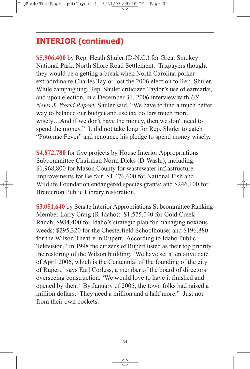### **INTERIOR (continued)**

**\$5,906,400** by Rep. Heath Shuler (D-N.C.) for Great Smokey National Park, North Shore Road Settlement. Taxpayers thought they would be a getting a break when North Carolina porker extraordinaire Charles Taylor lost the 2006 election to Rep. Shuler. While campaigning, Rep. Shuler criticized Taylor's use of earmarks, and upon election, in a December 31, 2006 interview with *US News & World Report,* Shuler said, "We have to find a much better way to balance our budget and use tax dollars much more wisely…And if we don't have the money, then we don't need to spend the money." It did not take long for Rep. Shuler to catch "Potomac Fever" and renounce his pledge to spend money wisely.

**\$4,872,780** for five projects by House Interior Appropriations Subcommittee Chairman Norm Dicks (D-Wash.), including: \$1,968,800 for Mason County for wastewater infrastructure improvements for Belfair; \$1,476,600 for National Fish and Wildlife Foundation endangered species grants; and \$246,100 for Bremerton Public Library restoration.

**\$3,051,640** by Senate Interior Appropriations Subcommittee Ranking Member Larry Craig (R-Idaho): \$1,575,040 for Gold Creek Ranch; \$984,400 for Idaho's strategic plan for managing noxious weeds; \$295,320 for the Chesterfield Schoolhouse; and \$196,880 for the Wilson Theatre in Rupert. According to Idaho Public Television, "In 1998 the citizens of Rupert listed as their top priority the restoring of the Wilson building. 'We have set a tentative date of April 2006, which is the Centennial of the founding of the city of Rupert,'says Earl Corless, a member of the board of directors overseeing construction. 'We would love to have it finished and opened by then.' By January of 2005, the town folks had raised a million dollars. They need a million and a half more." Just not from their own pockets.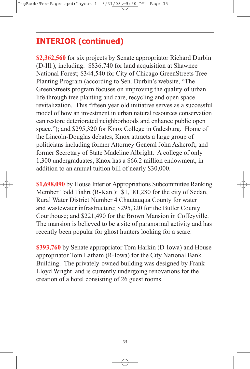### **INTERIOR (continued)**

**\$2,362,560** for six projects by Senate appropriator Richard Durbin (D-Ill.), including: \$836,740 for land acquisition at Shawnee National Forest; \$344,540 for City of Chicago GreenStreets Tree Planting Program (according to Sen. Durbin's website, "The GreenStreets program focuses on improving the quality of urban life through tree planting and care, recycling and open space revitalization. This fifteen year old initiative serves as a successful model of how an investment in urban natural resources conservation can restore deteriorated neighborhoods and enhance public open space."); and \$295,320 for Knox College in Galesburg. Home of the Lincoln-Douglas debates, Knox attracts a large group of politicians including former Attorney General John Ashcroft, and former Secretary of State Madeline Albright. A college of only 1,300 undergraduates, Knox has a \$66.2 million endowment, in addition to an annual tuition bill of nearly \$30,000.

**\$1,698,090** by House Interior Appropriations Subcommittee Ranking Member Todd Tiahrt (R-Kan.): \$1,181,280 for the city of Sedan, Rural Water District Number 4 Chautauqua County for water and wastewater infrastructure; \$295,320 for the Butler County Courthouse; and \$221,490 for the Brown Mansion in Coffeyville. The mansion is believed to be a site of paranormal activity and has recently been popular for ghost hunters looking for a scare.

**\$393,760** by Senate appropriator Tom Harkin (D-Iowa) and House appropriator Tom Latham (R-Iowa) for the City National Bank Building. The privately-owned building was designed by Frank Lloyd Wright and is currently undergoing renovations for the creation of a hotel consisting of 26 guest rooms.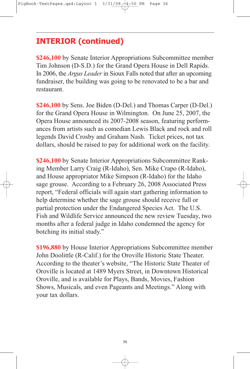### **INTERIOR (continued)**

**\$246,100** by Senate Interior Appropriations Subcommittee member Tim Johnson (D-S.D.) for the Grand Opera House in Dell Rapids. In 2006, the *Argus Leader* in Sioux Falls noted that after an upcoming fundraiser, the building was going to be renovated to be a bar and restaurant.

**\$246,100** by Sens. Joe Biden (D-Del.) and Thomas Carper (D-Del.) for the Grand Opera House in Wilmington. On June 25, 2007, the Opera House announced its 2007-2008 season, featuring performances from artists such as comedian Lewis Black and rock and roll legends David Crosby and Graham Nash. Ticket prices, not tax dollars, should be raised to pay for additional work on the facility.

**\$246,100** by Senate Interior Appropriations Subcommittee Ranking Member Larry Craig (R-Idaho), Sen. Mike Crapo (R-Idaho), and House appropriator Mike Simpson (R-Idaho) for the Idaho sage grouse. According to a February 26, 2008 Associated Press report, "Federal officials will again start gathering information to help determine whether the sage grouse should receive full or partial protection under the Endangered Species Act. The U.S. Fish and Wildlife Service announced the new review Tuesday, two months after a federal judge in Idaho condemned the agency for botching its initial study."

**\$196,880** by House Interior Appropriations Subcommittee member John Doolittle (R-Calif.) for the Oroville Historic State Theater. According to the theater's website, "The Historic State Theater of Oroville is located at 1489 Myers Street, in Downtown Historical Oroville, and is available for Plays, Bands, Movies, Fashion Shows, Musicals, and even Pageants and Meetings." Along with your tax dollars.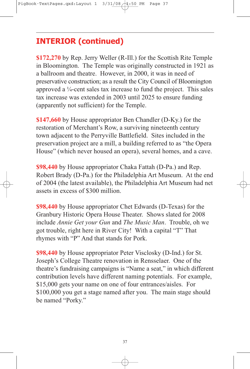# **INTERIOR (continued)**

**\$172,270** by Rep. Jerry Weller (R-Ill.) for the Scottish Rite Temple in Bloomington. The Temple was originally constructed in 1921 as a ballroom and theatre. However, in 2000, it was in need of preservative construction; as a result the City Council of Bloomington approved a  $\frac{1}{4}$ -cent sales tax increase to fund the project. This sales tax increase was extended in 2003 until 2025 to ensure funding (apparently not sufficient) for the Temple.

**\$147,660** by House appropriator Ben Chandler (D-Ky.) for the restoration of Merchant's Row, a surviving nineteenth century town adjacent to the Perryville Battlefield. Sites included in the preservation project are a mill, a building referred to as "the Opera House" (which never housed an opera), several homes, and a cave.

**\$98,440** by House appropriator Chaka Fattah (D-Pa.) and Rep. Robert Brady (D-Pa.) for the Philadelphia Art Museum. At the end of 2004 (the latest available), the Philadelphia Art Museum had net assets in excess of \$300 million.

**\$98,440** by House appropriator Chet Edwards (D-Texas) for the Granbury Historic Opera House Theater. Shows slated for 2008 include *Annie Get your Gun* and *The Music Man*. Trouble, oh we got trouble, right here in River City! With a capital "T" That rhymes with "P" And that stands for Pork.

**\$98,440** by House appropriator Peter Visclosky (D-Ind.) for St. Joseph's College Theatre renovation in Rensselaer. One of the theatre's fundraising campaigns is "Name a seat," in which different contribution levels have different naming potentials. For example, \$15,000 gets your name on one of four entrances/aisles. For \$100,000 you get a stage named after you. The main stage should be named "Porky."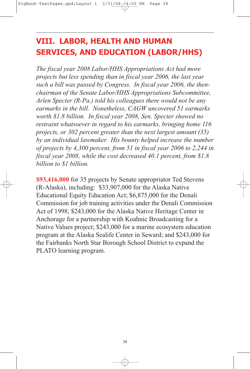# **VIII. LABOR, HEALTH AND HUMAN SERVICES, AND EDUCATION (LABOR/HHS)**

*The fiscal year 2008 Labor/HHS Appropriations Act had more projects but less spending than in fiscal year 2006, the last year such a bill was passed by Congress. In fiscal year 2006, the thenchairman of the Senate Labor/HHS Appropriations Subcommittee, Arlen Specter (R-Pa.) told his colleagues there would not be any earmarks in the bill. Nonetheless, CAGW uncovered 51 earmarks worth \$1.8 billion. In fiscal year 2008, Sen. Specter showed no restraint whatsoever in regard to his earmarks, bringing home 116 projects, or 302 percent greater than the next largest amount (35) by an individual lawmaker. His bounty helped increase the number of projects by 4,300 percent, from 51 in fiscal year 2006 to 2,244 in fiscal year 2008, while the cost decreased 40.1 percent, from \$1.8 billion to \$1 billion.*

**\$93,416,000** for 35 projects by Senate appropriator Ted Stevens (R-Alaska), including: \$33,907,000 for the Alaska Native Educational Equity Education Act; \$6,875,000 for the Denali Commission for job training activities under the Denali Commission Act of 1998; \$243,000 for the Alaska Native Heritage Center in Anchorage for a partnership with Koahnic Broadcasting for a Native Values project; \$243,000 for a marine ecosystem education program at the Alaska Sealife Center in Seward; and \$243,000 for the Fairbanks North Star Borough School District to expand the PLATO learning program.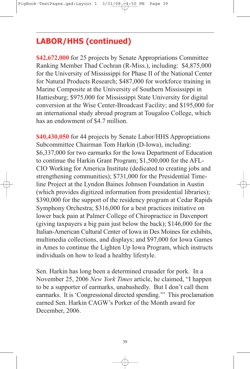**\$42,672,000** for 25 projects by Senate Appropriations Committee Ranking Member Thad Cochran (R-Miss.), including: \$4,875,000 for the University of Mississippi for Phase II of the National Center for Natural Products Research; \$487,000 for workforce training in Marine Composite at the University of Southern Mississippi in Hattiesburg; \$975,000 for Mississippi State University for digital conversion at the Wise Center-Broadcast Facility; and \$195,000 for an international study abroad program at Tougaloo College, which has an endowment of \$4.7 million.

**\$40,430,050** for 44 projects by Senate Labor/HHS Appropriations Subcommittee Chairman Tom Harkin (D-Iowa), including: \$6,337,000 for two earmarks for the Iowa Department of Education to continue the Harkin Grant Program; \$1,500,000 for the AFL-CIO Working for America Institute (dedicated to creating jobs and strengthening communities); \$731,000 for the Presidential Timeline Project at the Lyndon Baines Johnson Foundation in Austin (which provides digitized information from presidential libraries); \$390,000 for the support of the residency program at Cedar Rapids Symphony Orchestra; \$316,000 for a best practices initiative on lower back pain at Palmer College of Chiropractice in Davenport (giving taxpayers a big pain just below the back); \$146,000 for the Italian-American Cultural Center of Iowa in Des Moines for exhibits, multimedia collections, and displays; and \$97,000 for Iowa Games in Ames to continue the Lighten Up Iowa Program, which instructs individuals on how to lead a healthy lifestyle.

Sen. Harkin has long been a determined crusader for pork. In a November 25, 2006 *New York Times* article, he claimed, "I happen to be a supporter of earmarks, unabashedly. But I don't call them earmarks. It is 'Congressional directed spending.'" This proclamation earned Sen. Harkin CAGW's Porker of the Month award for December, 2006.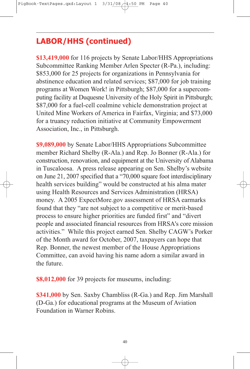**\$13,419,000** for 116 projects by Senate Labor/HHS Appropriations Subcommittee Ranking Member Arlen Specter (R-Pa.), including: \$853,000 for 25 projects for organizations in Pennsylvania for abstinence education and related services; \$87,000 for job training programs at Women Work! in Pittsburgh; \$87,000 for a supercomputing facility at Duquesne University of the Holy Spirit in Pittsburgh; \$87,000 for a fuel-cell coalmine vehicle demonstration project at United Mine Workers of America in Fairfax, Virginia; and \$73,000 for a truancy reduction initiative at Community Empowerment Association, Inc., in Pittsburgh.

**\$9,089,000** by Senate Labor/HHS Appropriations Subcommittee member Richard Shelby (R-Ala.) and Rep. Jo Bonner (R-Ala.) for construction, renovation, and equipment at the University of Alabama in Tuscaloosa. A press release appearing on Sen. Shelby's website on June 21, 2007 specified that a "70,000 square foot interdisciplinary health services building" would be constructed at his alma mater using Health Resources and Services Administration (HRSA) money. A 2005 ExpectMore.gov assessment of HRSA earmarks found that they "are not subject to a competitive or merit-based process to ensure higher priorities are funded first" and "divert people and associated financial resources from HRSA's core mission activities." While this project earned Sen. Shelby CAGW's Porker of the Month award for October, 2007, taxpayers can hope that Rep. Bonner, the newest member of the House Appropriations Committee, can avoid having his name adorn a similar award in the future.

**\$8,012,000** for 39 projects for museums, including:

**\$341,000** by Sen. Saxby Chambliss (R-Ga.) and Rep. Jim Marshall (D-Ga.) for educational programs at the Museum of Aviation Foundation in Warner Robins.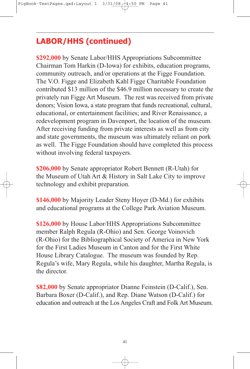**\$292,000** by Senate Labor/HHS Appropriations Subcommittee Chairman Tom Harkin (D-Iowa) for exhibits, education programs, community outreach, and/or operations at the Figge Foundation. The V.O. Figge and Elizabeth Kahl Figge Charitable Foundation contributed \$13 million of the \$46.9 million necessary to create the privately run Figge Art Museum. The rest was received from private donors; Vision Iowa, a state program that funds recreational, cultural, educational, or entertainment facilities; and River Renaissance, a redevelopment program in Davenport, the location of the museum. After receiving funding from private interests as well as from city and state governments, the museum was ultimately reliant on pork as well. The Figge Foundation should have completed this process without involving federal taxpayers.

**\$206,000** by Senate appropriator Robert Bennett (R-Utah) for the Museum of Utah Art & History in Salt Lake City to improve technology and exhibit preparation.

**\$146,000** by Majority Leader Steny Hoyer (D-Md.) for exhibits and educational programs at the College Park Aviation Museum.

**\$126,000** by House Labor/HHS Appropriations Subcommittee member Ralph Regula (R-Ohio) and Sen. George Voinovich (R-Ohio) for the Bibliographical Society of America in New York for the First Ladies Museum in Canton and for the First White House Library Catalogue. The museum was founded by Rep. Regula's wife, Mary Regula, while his daughter, Martha Regula, is the director.

**\$82,000** by Senate appropriator Dianne Feinstein (D-Calif.), Sen. Barbara Boxer (D-Calif.), and Rep. Diane Watson (D-Calif.) for education and outreach at the Los Angeles Craft and Folk Art Museum.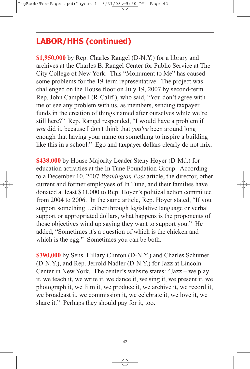**\$1,950,000** by Rep. Charles Rangel (D-N.Y.) for a library and archives at the Charles B. Rangel Center for Public Service at The City College of New York. This "Monument to Me" has caused some problems for the 19-term representative. The project was challenged on the House floor on July 19, 2007 by second-term Rep. John Campbell (R-Calif.), who said, "You don't agree with me or see any problem with us, as members, sending taxpayer funds in the creation of things named after ourselves while we're still here?" Rep. Rangel responded, "I would have a problem if *you* did it, because I don't think that *you've* been around long enough that having your name on something to inspire a building like this in a school." Ego and taxpayer dollars clearly do not mix.

**\$438,000** by House Majority Leader Steny Hoyer (D-Md.) for education activities at the In Tune Foundation Group. According to a December 10, 2007 *Washington Post* article, the director, other current and former employees of In Tune, and their families have donated at least \$31,000 to Rep. Hoyer's political action committee from 2004 to 2006. In the same article, Rep. Hoyer stated, "If you support something…either through legislative language or verbal support or appropriated dollars, what happens is the proponents of those objectives wind up saying they want to support you." He added, "Sometimes it's a question of which is the chicken and which is the egg." Sometimes you can be both.

**\$390,000** by Sens. Hillary Clinton (D-N.Y.) and Charles Schumer (D-N.Y.), and Rep. Jerrold Nadler (D-N.Y.) for Jazz at Lincoln Center in New York. The center's website states: "Jazz – we play it, we teach it, we write it, we dance it, we sing it, we present it, we photograph it, we film it, we produce it, we archive it, we record it, we broadcast it, we commission it, we celebrate it, we love it, we share it." Perhaps they should pay for it, too.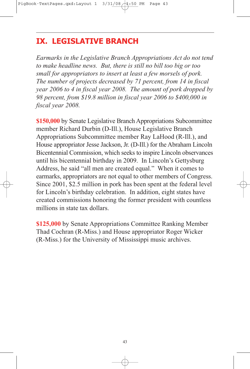### **IX. LEGISLATIVE BRANCH**

*Earmarks in the Legislative Branch Appropriations Act do not tend to make headline news. But, there is still no bill too big or too small for appropriators to insert at least a few morsels of pork. The number of projects decreased by 71 percent, from 14 in fiscal year 2006 to 4 in fiscal year 2008. The amount of pork dropped by 98 percent, from \$19.8 million in fiscal year 2006 to \$400,000 in fiscal year 2008.*

**\$150,000** by Senate Legislative Branch Appropriations Subcommittee member Richard Durbin (D-Ill.), House Legislative Branch Appropriations Subcommittee member Ray LaHood (R-Ill.), and House appropriator Jesse Jackson, Jr. (D-Ill.) for the Abraham Lincoln Bicentennial Commission, which seeks to inspire Lincoln observances until his bicentennial birthday in 2009. In Lincoln's Gettysburg Address, he said "all men are created equal." When it comes to earmarks, appropriators are not equal to other members of Congress. Since 2001, \$2.5 million in pork has been spent at the federal level for Lincoln's birthday celebration. In addition, eight states have created commissions honoring the former president with countless millions in state tax dollars.

**\$125,000** by Senate Appropriations Committee Ranking Member Thad Cochran (R-Miss.) and House appropriator Roger Wicker (R-Miss.) for the University of Mississippi music archives.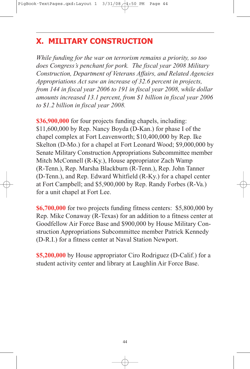## **X. MILITARY CONSTRUCTION**

*While funding for the war on terrorism remains a priority, so too does Congress's penchant for pork. The fiscal year 2008 Military Construction, Department of Veterans Affairs, and Related Agencies Appropriations Act saw an increase of 32.6 percent in projects, from 144 in fiscal year 2006 to 191 in fiscal year 2008, while dollar amounts increased 13.1 percent, from \$1 billion in fiscal year 2006 to \$1.2 billion in fiscal year 2008.*

**\$36,900,000** for four projects funding chapels, including: \$11,600,000 by Rep. Nancy Boyda (D-Kan.) for phase I of the chapel complex at Fort Leavenworth; \$10,400,000 by Rep. Ike Skelton (D-Mo.) for a chapel at Fort Leonard Wood; \$9,000,000 by Senate Military Construction Appropriations Subcommittee member Mitch McConnell (R-Ky.), House appropriator Zach Wamp (R-Tenn.), Rep. Marsha Blackburn (R-Tenn.), Rep. John Tanner (D-Tenn.), and Rep. Edward Whitfield (R-Ky.) for a chapel center at Fort Campbell; and \$5,900,000 by Rep. Randy Forbes (R-Va.) for a unit chapel at Fort Lee.

**\$6,700,000** for two projects funding fitness centers: \$5,800,000 by Rep. Mike Conaway (R-Texas) for an addition to a fitness center at Goodfellow Air Force Base and \$900,000 by House Military Construction Appropriations Subcommittee member Patrick Kennedy (D-R.I.) for a fitness center at Naval Station Newport.

**\$5,200,000** by House appropriator Ciro Rodriguez (D-Calif.) for a student activity center and library at Laughlin Air Force Base.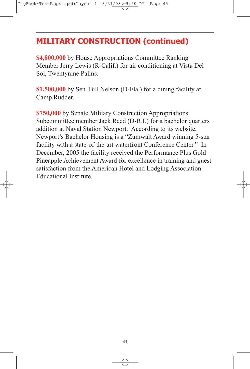### **MILITARY CONSTRUCTION (continued)**

**\$4,800,000** by House Appropriations Committee Ranking Member Jerry Lewis (R-Calif.) for air conditioning at Vista Del Sol, Twentynine Palms.

**\$1,500,000** by Sen. Bill Nelson (D-Fla.) for a dining facility at Camp Rudder.

**\$750,000** by Senate Military Construction Appropriations Subcommittee member Jack Reed (D-R.I.) for a bachelor quarters addition at Naval Station Newport. According to its website, Newport's Bachelor Housing is a "Zumwalt Award winning 5-star facility with a state-of-the-art waterfront Conference Center." In December, 2005 the facility received the Performance Plus Gold Pineapple Achievement Award for excellence in training and guest satisfaction from the American Hotel and Lodging Association Educational Institute.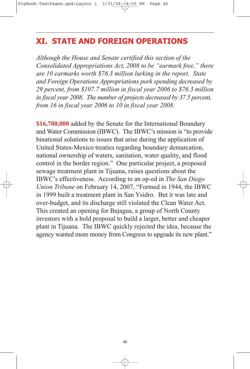### **XI. STATE AND FOREIGN OPERATIONS**

*Although the House and Senate certified this section of the Consolidated Appropriations Act, 2008 to be "earmark free," there are 10 earmarks worth \$76.3 million lurking in the report. State and Foreign Operations Appropriations pork spending decreased by 29 percent, from \$107.7 million in fiscal year 2006 to \$76.3 million in fiscal year 2008. The number of projects decreased by 37.5 percent, from 16 in fiscal year 2006 to 10 in fiscal year 2008.*

**\$16,700,000** added by the Senate for the International Boundary and Water Commission (IBWC). The IBWC's mission is "to provide binational solutions to issues that arise during the application of United States-Mexico treaties regarding boundary demarcation, national ownership of waters, sanitation, water quality, and flood control in the border region." One particular project, a proposed sewage treatment plant in Tijuana, raises questions about the IBWC's effectiveness. According to an op-ed in *The San Diego Union Tribune* on February 14, 2007, "Formed in 1944, the IBWC in 1999 built a treatment plant in San Ysidro. But it was late and over-budget, and its discharge still violated the Clean Water Act. This created an opening for Bajagua, a group of North County investors with a bold proposal to build a larger, better and cheaper plant in Tijuana. The IBWC quickly rejected the idea, because the agency wanted more money from Congress to upgrade its new plant."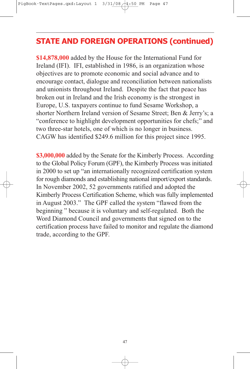### **STATE AND FOREIGN OPERATIONS (continued)**

**\$14,878,000** added by the House for the International Fund for Ireland (IFI). IFI, established in 1986, is an organization whose objectives are to promote economic and social advance and to encourage contact, dialogue and reconciliation between nationalists and unionists throughout Ireland. Despite the fact that peace has broken out in Ireland and the Irish economy is the strongest in Europe, U.S. taxpayers continue to fund Sesame Workshop, a shorter Northern Ireland version of Sesame Street; Ben & Jerry's; a "conference to highlight development opportunities for chefs;" and two three-star hotels, one of which is no longer in business. CAGW has identified \$249.6 million for this project since 1995.

**\$3,000,000** added by the Senate for the Kimberly Process. According to the Global Policy Forum (GPF), the Kimberly Process was initiated in 2000 to set up "an internationally recognized certification system for rough diamonds and establishing national import/export standards. In November 2002, 52 governments ratified and adopted the Kimberly Process Certification Scheme, which was fully implemented in August 2003." The GPF called the system "flawed from the beginning " because it is voluntary and self-regulated. Both the Word Diamond Council and governments that signed on to the certification process have failed to monitor and regulate the diamond trade, according to the GPF.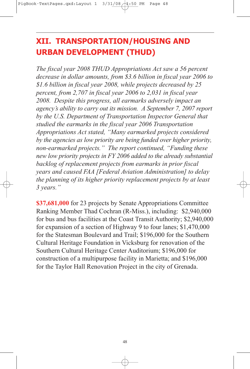# **XII. TRANSPORTATION/HOUSING AND URBAN DEVELOPMENT (THUD)**

*The fiscal year 2008 THUD Appropriations Act saw a 56 percent decrease in dollar amounts, from \$3.6 billion in fiscal year 2006 to \$1.6 billion in fiscal year 2008, while projects decreased by 25 percent, from 2,707 in fiscal year 2006 to 2,031 in fiscal year 2008. Despite this progress, all earmarks adversely impact an agency's ability to carry out its mission. A September 7, 2007 report by the U.S. Department of Transportation Inspector General that studied the earmarks in the fiscal year 2006 Transportation Appropriations Act stated, "Many earmarked projects considered by the agencies as low priority are being funded over higher priority, non-earmarked projects." The report continued, "Funding these new low priority projects in FY 2006 added to the already substantial backlog of replacement projects from earmarks in prior fiscal years and caused FAA [Federal Aviation Administration] to delay the planning of its higher priority replacement projects by at least 3 years."*

**\$37,681,000** for 23 projects by Senate Appropriations Committee Ranking Member Thad Cochran (R-Miss.), including: \$2,940,000 for bus and bus facilities at the Coast Transit Authority; \$2,940,000 for expansion of a section of Highway 9 to four lanes; \$1,470,000 for the Statesman Boulevard and Trail; \$196,000 for the Southern Cultural Heritage Foundation in Vicksburg for renovation of the Southern Cultural Heritage Center Auditorium; \$196,000 for construction of a multipurpose facility in Marietta; and \$196,000 for the Taylor Hall Renovation Project in the city of Grenada.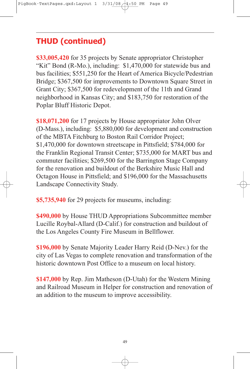**\$33,005,420** for 35 projects by Senate appropriator Christopher "Kit" Bond (R-Mo.), including: \$1,470,000 for statewide bus and bus facilities; \$551,250 for the Heart of America Bicycle/Pedestrian Bridge; \$367,500 for improvements to Downtown Square Street in Grant City; \$367,500 for redevelopment of the 11th and Grand neighborhood in Kansas City; and \$183,750 for restoration of the Poplar Bluff Historic Depot.

**\$18,071,200** for 17 projects by House appropriator John Olver (D-Mass.), including: \$5,880,000 for development and construction of the MBTA Fitchburg to Boston Rail Corridor Project; \$1,470,000 for downtown streetscape in Pittsfield; \$784,000 for the Franklin Regional Transit Center; \$735,000 for MART bus and commuter facilities; \$269,500 for the Barrington Stage Company for the renovation and buildout of the Berkshire Music Hall and Octagon House in Pittsfield; and \$196,000 for the Massachusetts Landscape Connectivity Study.

**\$5,735,940** for 29 projects for museums, including:

**\$490,000** by House THUD Appropriations Subcommittee member Lucille Roybal-Allard (D-Calif.) for construction and buildout of the Los Angeles County Fire Museum in Bellflower.

**\$196,000** by Senate Majority Leader Harry Reid (D-Nev.) for the city of Las Vegas to complete renovation and transformation of the historic downtown Post Office to a museum on local history.

**\$147,000** by Rep. Jim Matheson (D-Utah) for the Western Mining and Railroad Museum in Helper for construction and renovation of an addition to the museum to improve accessibility.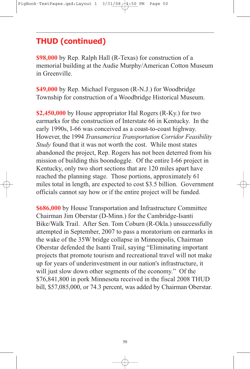**\$98,000** by Rep. Ralph Hall (R-Texas) for construction of a memorial building at the Audie Murphy/American Cotton Museum in Greenville.

**\$49,000** by Rep. Michael Ferguson (R-N.J.) for Woodbridge Township for construction of a Woodbridge Historical Museum.

**\$2,450,000** by House appropriator Hal Rogers (R-Ky.) for two earmarks for the construction of Interstate 66 in Kentucky. In the early 1990s, I-66 was conceived as a coast-to-coast highway. However, the 1994 *Transamerica Transportation Corridor Feasibility Study* found that it was not worth the cost. While most states abandoned the project, Rep. Rogers has not been deterred from his mission of building this boondoggle. Of the entire I-66 project in Kentucky, only two short sections that are 120 miles apart have reached the planning stage. Those portions, approximately 61 miles total in length, are expected to cost \$3.5 billion. Government officials cannot say how or if the entire project will be funded.

**\$686,000** by House Transportation and Infrastructure Committee Chairman Jim Oberstar (D-Minn.) for the Cambridge-Isanti Bike/Walk Trail. After Sen. Tom Coburn (R-Okla.) unsuccessfully attempted in September, 2007 to pass a moratorium on earmarks in the wake of the 35W bridge collapse in Minneapolis, Chairman Oberstar defended the Isanti Trail, saying "Eliminating important projects that promote tourism and recreational travel will not make up for years of underinvestment in our nation's infrastructure, it will just slow down other segments of the economy." Of the \$76,841,800 in pork Minnesota received in the fiscal 2008 THUD bill, \$57,085,000, or 74.3 percent, was added by Chairman Oberstar.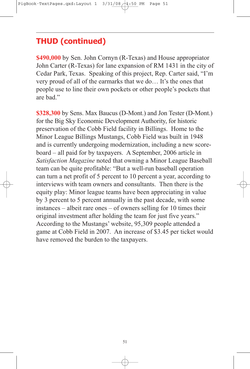**\$490,000** by Sen. John Cornyn (R-Texas) and House appropriator John Carter (R-Texas) for lane expansion of RM 1431 in the city of Cedar Park, Texas. Speaking of this project, Rep. Carter said, "I'm very proud of all of the earmarks that we do… It's the ones that people use to line their own pockets or other people's pockets that are bad."

**\$328,300** by Sens. Max Baucus (D-Mont.) and Jon Tester (D-Mont.) for the Big Sky Economic Development Authority, for historic preservation of the Cobb Field facility in Billings. Home to the Minor League Billings Mustangs, Cobb Field was built in 1948 and is currently undergoing modernization, including a new scoreboard – all paid for by taxpayers. A September, 2006 article in *Satisfaction Magazine* noted that owning a Minor League Baseball team can be quite profitable: "But a well-run baseball operation can turn a net profit of 5 percent to 10 percent a year, according to interviews with team owners and consultants. Then there is the equity play: Minor league teams have been appreciating in value by 3 percent to 5 percent annually in the past decade, with some instances – albeit rare ones – of owners selling for 10 times their original investment after holding the team for just five years." According to the Mustangs' website, 95,309 people attended a game at Cobb Field in 2007. An increase of \$3.45 per ticket would have removed the burden to the taxpayers.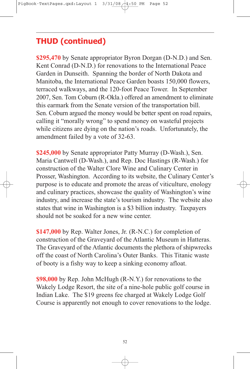**\$295,470** by Senate appropriator Byron Dorgan (D-N.D.) and Sen. Kent Conrad (D-N.D.) for renovations to the International Peace Garden in Dunseith. Spanning the border of North Dakota and Manitoba, the International Peace Garden boasts 150,000 flowers, terraced walkways, and the 120-foot Peace Tower. In September 2007, Sen. Tom Coburn (R-Okla.) offered an amendment to eliminate this earmark from the Senate version of the transportation bill. Sen. Coburn argued the money would be better spent on road repairs, calling it "morally wrong" to spend money on wasteful projects while citizens are dying on the nation's roads. Unfortunately, the amendment failed by a vote of 32-63.

**\$245,000** by Senate appropriator Patty Murray (D-Wash.), Sen. Maria Cantwell (D-Wash.), and Rep. Doc Hastings (R-Wash.) for construction of the Walter Clore Wine and Culinary Center in Prosser, Washington. According to its website, the Culinary Center's purpose is to educate and promote the areas of viticulture, enology and culinary practices, showcase the quality of Washington's wine industry, and increase the state's tourism industry. The website also states that wine in Washington is a \$3 billion industry. Taxpayers should not be soaked for a new wine center.

**\$147,000** by Rep. Walter Jones, Jr. (R-N.C.) for completion of construction of the Graveyard of the Atlantic Museum in Hatteras. The Graveyard of the Atlantic documents the plethora of shipwrecks off the coast of North Carolina's Outer Banks. This Titanic waste of booty is a fishy way to keep a sinking economy afloat.

**\$98,000** by Rep. John McHugh (R-N.Y.) for renovations to the Wakely Lodge Resort, the site of a nine-hole public golf course in Indian Lake. The \$19 greens fee charged at Wakely Lodge Golf Course is apparently not enough to cover renovations to the lodge.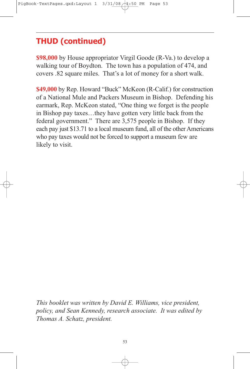**\$98,000** by House appropriator Virgil Goode (R-Va.) to develop a walking tour of Boydton. The town has a population of 474, and covers .82 square miles. That's a lot of money for a short walk.

**\$49,000** by Rep. Howard "Buck" McKeon (R-Calif.) for construction of a National Mule and Packers Museum in Bishop. Defending his earmark, Rep. McKeon stated, "One thing we forget is the people in Bishop pay taxes…they have gotten very little back from the federal government." There are 3,575 people in Bishop. If they each pay just \$13.71 to a local museum fund, all of the other Americans who pay taxes would not be forced to support a museum few are likely to visit.

*This booklet was written by David E. Williams, vice president, policy, and Sean Kennedy, research associate. It was edited by Thomas A. Schatz, president.*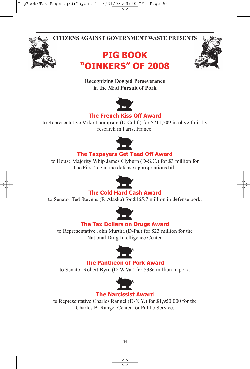**CITIZENS AGAINST GOVERNMENT WASTE PRESENTS**







#### **Recognizing Dogged Perseverance in the Mad Pursuit of Pork**



### **The French Kiss Off Award**

to Representative Mike Thompson (D-Calif.) for \$211,509 in olive fruit fly research in Paris, France.



#### **The Taxpayers Get Teed Off Award**

to House Majority Whip James Clyburn (D-S.C.) for \$3 million for The First Tee in the defense appropriations bill.



#### **The Cold Hard Cash Award**

to Senator Ted Stevens (R-Alaska) for \$165.7 million in defense pork.



#### **The Tax Dollars on Drugs Award**

to Representative John Murtha (D-Pa.) for \$23 million for the National Drug Intelligence Center.



#### **The Pantheon of Pork Award**

to Senator Robert Byrd (D-W.Va.) for \$386 million in pork.



#### **The Narcissist Award**

to Representative Charles Rangel (D-N.Y.) for \$1,950,000 for the Charles B. Rangel Center for Public Service.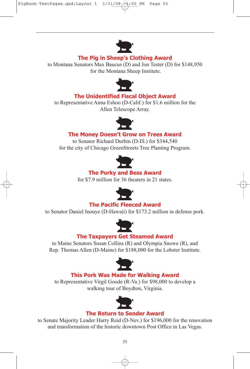

#### **The Pig in Sheep's Clothing Award**

to Montana Senators Max Baucus (D) and Jon Tester (D) for \$148,950 for the Montana Sheep Institute.



#### **The Unidentified Fiscal Object Award**

to Representative Anna Eshoo (D-Calif.) for \$1.6 million for the Allen Telescope Array.



### **The Money Doesn't Grow on Trees Award**

to Senator Richard Durbin (D-Ill.) for \$344,540 for the city of Chicago GreenStreets Tree Planting Program.



#### **The Porky and Bess Award**

for \$7.9 million for 36 theaters in 21 states.



### **The Pacific Fleeced Award**

to Senator Daniel Inouye (D-Hawaii) for \$173.2 million in defense pork.



#### **The Taxpayers Get Steamed Award**

to Maine Senators Susan Collins (R) and Olympia Snowe (R), and Rep. Thomas Allen (D-Maine) for \$188,000 for the Lobster Institute.



#### **This Pork Was Made for Walking Award**

to Representative Virgil Goode (R-Va.) for \$98,000 to develop a walking tour of Boydton, Virginia.



#### **The Return to Sender Award**

to Senate Majority Leader Harry Reid (D-Nev.) for \$196,000 for the renovation and transformation of the historic downtown Post Office in Las Vegas.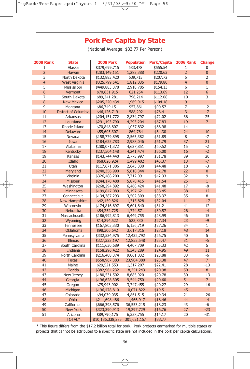### **Pork Per Capita by State**

(National Average: \$33.77 Per Person)

| <b>2008 Rank</b> | <b>State</b>         | <b>2008 Pork</b> | <b>Population</b>      | <b>Pork/Capita</b> | <b>2006 Rank</b> | <b>Change</b>  |
|------------------|----------------------|------------------|------------------------|--------------------|------------------|----------------|
| $\mathbf{1}$     | Alaska               | \$379,699,715    | 683,478                | \$555.54           | $\mathbf{1}$     | 0              |
| $\overline{2}$   | Hawaii               | \$283,149,151    | 1,283,388              | \$220.63           | $\overline{2}$   | $\overline{0}$ |
| 3                | North Dakota         | \$132,883,420    | 639,715                | \$207.72           | 5                | $\overline{2}$ |
| $\overline{4}$   | <b>West Virginia</b> | \$325,799,541    | 1,812,035              | \$179.80           | $\overline{4}$   | $\overline{0}$ |
| 5                | Mississippi          | \$449,883,378    | 2,918,785              | \$154.13           | 6                | 1              |
| 6                | Vermont              | \$70,631,915     | 621,254                | \$113.69           | 12               | 6              |
| 7                | South Dakota         | \$89,241,281     | 796,214                | \$112.08           | 10               | 3              |
| 8                | <b>New Mexico</b>    | \$205,220,434    | 1,969,915              | \$104.18           | 9                | $\mathbf{1}$   |
| 9                | Montana              | \$86,749,151     | 957,861                | \$90.57            | $\overline{7}$   | $-2$           |
| 10               | District of Columbia | \$46,126,719     | 588,292                | \$78.41            | 3                | $-7$           |
| 11               | Arkansas             | \$204,151,772    | 2,834,797              | \$72.02            | 36               | 25             |
| 12               | Louisiana            | \$291,193,790    | 4,293,204              | \$67.83            | 19               | $\overline{7}$ |
| 13               | Rhode Island         | \$70,848,807     | 1,057,832              | \$66.98            | 14               | $\mathbf{1}$   |
| 14               | <b>Delaware</b>      | \$55,605,307     | 864,764                | \$64.30            | 24               | 10             |
| 15               | Nevada               | \$158,779,895    | 2,565,382              | \$61.89            | 8                | $-7$           |
| 16               | Iowa                 | \$184,625,783    | 2,988,046              | \$61.79            | 37               | 21             |
| 17               | Alabama              | \$280,071,372    | 4,627,851              | \$60.52            | 15               | $-2$           |
| 18               | Kentucky             | \$237,504,148    | 4,241,474              | \$56.00            | 16               | $-2$           |
| 19               | Kansas               | \$143,744,440    | 2,775,997              | \$51.78            | 39               | 20             |
| 20               | Idaho                | \$68,026,924     | 1,499,402              | \$45.37            | 13               | $-7$           |
| 21               | Utah                 | \$117,671,306    | 2,645,330              | \$44.48            | 18               | -3             |
| 22               | Maryland             | \$240,356,990    | 5,618,344              | \$42.78            | 22               | $\overline{0}$ |
| 23               | Virginia             | \$326,488,200    | 7,712,091              | \$42.33            | 32               | 9              |
| 24               | Missouri             | \$244,170,488    | 5,878,415              | \$41.54            | 25               | $\mathbf{1}$   |
| 25               | Washington           | \$268,294,892    | 6,468,424              | \$41.48            | 17               | $-8$           |
| 26               | Minnesota            | \$199,847,089    |                        | \$38.45            | 38               | 12             |
| 27               | Connecticut          | \$134,387,293    | 5,197,621<br>3,502,309 | \$38.37            | 35               | 8              |
| 28               | New Hampshire        | \$42,159,826     | 1,315,828              | \$32.04            | 11               | $-17$          |
| 29               |                      |                  |                        |                    | 41               | 12             |
| 30               | Wisconsin            | \$174,816,697    | 5,601,640              | \$31.21            | 26               | $-4$           |
|                  | Nebraska             | \$54,252,725     | 1,774,571              | \$30.57            |                  |                |
| 31               | Massachusetts        | \$186,992,813    | 6,449,755              | \$28.99            | 46               | 15             |
| 32               | Wyoming              | \$14,294,522     | 522,830                | \$27.34            | 23               | $-9$           |
| 33               | Tennessee            | \$167,805,330    | 6,156,719              | \$27.26            | 34               | $\mathbf{1}$   |
| 34               | <b>Oklahoma</b>      | \$98,306,642     | 3,617,316              | \$27.18            | 48               | 14             |
| 35               | Pennsylvania         | \$332,534,975    | 12,432,792             | \$26.75            | 40               | 5              |
| 36               | <b>Illinois</b>      | \$327,333,197    | 12,852,548             | \$25.47            | 31               | $-5$           |
| 37               | South Carolina       | \$111,630,689    | 4,407,709              | \$25.33            | 42               | 5              |
| 38               | Indiana              | \$158,296,422    | 6,345,289              | \$24.95            | 49               | 11             |
| 39               | North Carolina       | \$216,408,374    | 9,061,032              | \$23.88            | 33               | $-6$           |
| 40               | <b>Texas</b>         | \$558,967,383    | 23,904,380             | \$23.38            | 47               | $\overline{7}$ |
| 41               | Maine                | \$29,521,553     | 1,317,207              | \$22.41            | 28               | $-13$          |
| 42               | Florida              | \$382,964,232    | 18,251,243             | \$20.98            | 50               | 8              |
| 43               | New Jersey           | \$180,531,502    | 8,685,920              | \$20.78            | 30               | $-13$          |
| 44               | Georgia              | \$196,628,305    | 9,544,750              | \$20.60            | 51               | $\overline{7}$ |
| 45               | Oregon               | \$75,943,902     | 3,747,455              | \$20.27            | 29               | $-16$          |
| 46               | Michigan             | \$196,478,810    | 10,071,822             | \$19.51            | 45               | $-1$           |
| 47               | Colorado             | \$94,039,035     | 4,861,515              | \$19.34            | 21               | $-26$          |
| 48               | Ohio                 | \$211,698,486    | 11,466,917             | \$18.46            | 44               | $-4$           |
| 49               | California           | \$666,398,576    | 36,553,215             | \$18.23            | 43               | -6             |
| 50               | <b>New York</b>      | \$323,390,913    | 19,297,729             | \$16.76            | 27               | $-23$          |
| 51               | Arizona              | \$89,790,175     | 6,338,755              | \$14.17            | 20               | $-31$          |
|                  | <b>TOTAL*</b>        | \$10,186,338,285 | 301,621,157            | \$33.77            |                  |                |

\* This figure differs from the \$17.2 billion total for pork. Pork projects earmarked for multiple states or projects that cannot be attributed to a specific state are not included in the pork per capita calculations.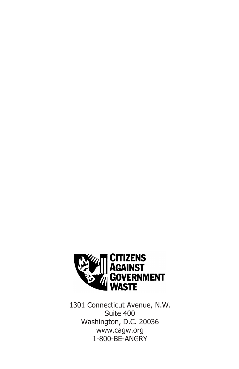

1301 Connecticut Avenue, N.W. Suite 400 Washington, D.C. 20036 www.cagw.org 1-800-BE-ANGRY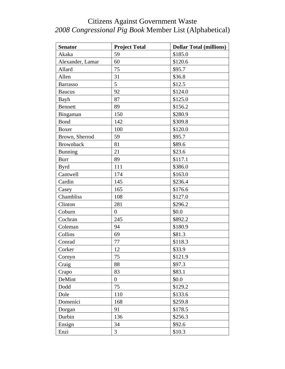| <b>Senator</b>   | <b>Project Total</b> | <b>Dollar Total (millions)</b> |
|------------------|----------------------|--------------------------------|
| Akaka            | 59                   | \$185.0                        |
| Alexander, Lamar | 60                   | \$120.6                        |
| Allard           | 75                   | \$95.7                         |
| Allen            | 31                   | \$36.8                         |
| <b>Barrasso</b>  | 5                    | \$12.5                         |
| <b>Baucus</b>    | 92                   | \$124.0                        |
| Bayh             | 87                   | \$125.0                        |
| Bennett          | 89                   | \$156.2                        |
| Bingaman         | 150                  | \$280.9                        |
| <b>Bond</b>      | 142                  | \$309.8                        |
| Boxer            | 100                  | \$120.0                        |
| Brown, Sherrod   | 59                   | \$95.7                         |
| <b>Brownback</b> | 81                   | \$89.6                         |
| Bunning          | 21                   | \$23.6                         |
| <b>Burr</b>      | 89                   | \$117.1                        |
| <b>Byrd</b>      | 111                  | \$386.0                        |
| Cantwell         | 174                  | \$163.0                        |
| Cardin           | 145                  | \$236.4                        |
| Casey            | 165                  | \$176.6                        |
| Chambliss        | 108                  | \$127.0                        |
| Clinton          | 281                  | \$296.2                        |
| Coburn           | $\boldsymbol{0}$     | \$0.0                          |
| Cochran          | 245                  | \$892.2                        |
| Coleman          | 94                   | \$180.9                        |
| Collins          | 69                   | \$81.3                         |
| Conrad           | 77                   | \$118.3                        |
| Corker           | 12                   | \$33.9                         |
| Cornyn           | 75                   | \$121.9                        |
| Craig            | 88                   | \$97.3                         |
| Crapo            | 83                   | \$83.1                         |
| DeMint           | $\overline{0}$       | \$0.0\$                        |
| Dodd             | 75                   | \$129.2                        |
| Dole             | 110                  | \$133.6                        |
| Domenici         | 168                  | \$259.8                        |
| Dorgan           | 91                   | \$178.5                        |
| Durbin           | 136                  | \$256.3                        |
| Ensign           | 34                   | \$92.6                         |
| Enzi             | 3                    | \$10.3                         |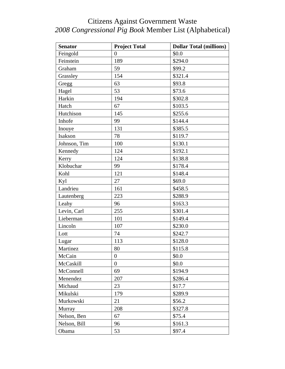| <b>Senator</b> | <b>Project Total</b> | <b>Dollar Total (millions)</b> |
|----------------|----------------------|--------------------------------|
| Feingold       | $\overline{0}$       | \$0.0                          |
| Feinstein      | 189                  | \$294.0                        |
| Graham         | 59                   | \$99.2                         |
| Grassley       | 154                  | \$321.4                        |
| Gregg          | 63                   | \$93.8                         |
| Hagel          | 53                   | \$73.6                         |
| Harkin         | 194                  | \$302.8                        |
| Hatch          | 67                   | \$103.5                        |
| Hutchison      | 145                  | \$255.6                        |
| Inhofe         | 99                   | \$144.4                        |
| Inouye         | 131                  | \$385.5                        |
| Isakson        | 78                   | \$119.7                        |
| Johnson, Tim   | 100                  | \$130.1                        |
| Kennedy        | 124                  | \$192.1                        |
| Kerry          | 124                  | \$138.8                        |
| Klobuchar      | 99                   | \$178.4                        |
| Kohl           | 121                  | \$148.4                        |
| Kyl            | 27                   | \$69.0                         |
| Landrieu       | 161                  | \$458.5                        |
| Lautenberg     | 223                  | \$288.9                        |
| Leahy          | 96                   | \$163.3                        |
| Levin, Carl    | 255                  | \$301.4                        |
| Lieberman      | 101                  | \$149.4                        |
| Lincoln        | 107                  | \$230.0                        |
| Lott           | 74                   | \$242.7                        |
| Lugar          | 113                  | \$128.0                        |
| Martinez       | 80                   | \$115.8                        |
| McCain         | $\boldsymbol{0}$     | \$0.0                          |
| McCaskill      | $\overline{0}$       | \$0.0                          |
| McConnell      | 69                   | \$194.9                        |
| Menendez       | 207                  | \$286.4                        |
| Michaud        | 23                   | \$17.7                         |
| Mikulski       | 179                  | \$289.9                        |
| Murkowski      | 21                   | \$56.2                         |
| Murray         | 208                  | \$327.8                        |
| Nelson, Ben    | 67                   | \$75.4                         |
| Nelson, Bill   | 96                   | \$161.3                        |
| Obama          | 53                   | \$97.4                         |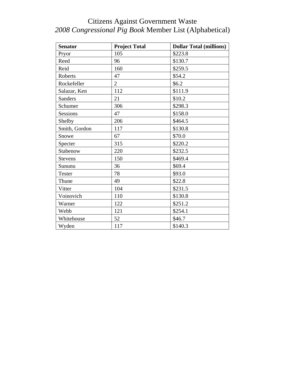| <b>Senator</b> | <b>Project Total</b> | <b>Dollar Total (millions)</b> |
|----------------|----------------------|--------------------------------|
| Pryor          | 105                  | \$223.8                        |
| Reed           | 96                   | \$130.7                        |
| Reid           | 160                  | \$259.5                        |
| Roberts        | 47                   | \$54.2                         |
| Rockefeller    | $\overline{2}$       | \$6.2\$                        |
| Salazar, Ken   | 112                  | \$111.9                        |
| <b>Sanders</b> | 21                   | \$10.2                         |
| Schumer        | 306                  | \$298.3                        |
| Sessions       | 47                   | \$158.0                        |
| Shelby         | 206                  | \$464.5                        |
| Smith, Gordon  | 117                  | \$130.8                        |
| Snowe          | 67                   | \$70.0                         |
| Specter        | 315                  | \$220.2                        |
| Stabenow       | 220                  | \$232.5                        |
| Stevens        | 150                  | \$469.4                        |
| Sununu         | 36                   | \$69.4                         |
| <b>Tester</b>  | 78                   | \$93.0                         |
| Thune          | 49                   | \$22.8                         |
| Vitter         | 104                  | \$231.5                        |
| Voinovich      | 110                  | \$130.8                        |
| Warner         | 122                  | \$251.2                        |
| Webb           | 121                  | \$254.1                        |
| Whitehouse     | 52                   | \$46.7                         |
| Wyden          | 117                  | \$140.3                        |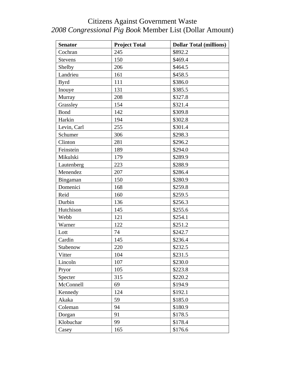### Citizens Against Government Waste *2008 Congressional Pig Book* Member List (Dollar Amount)

| <b>Senator</b> | <b>Project Total</b> | <b>Dollar Total (millions)</b> |
|----------------|----------------------|--------------------------------|
| Cochran        | 245                  | \$892.2                        |
| <b>Stevens</b> | 150                  | \$469.4                        |
| Shelby         | 206                  | \$464.5                        |
| Landrieu       | 161                  | \$458.5                        |
| <b>Byrd</b>    | 111                  | \$386.0                        |
| Inouye         | 131                  | \$385.5                        |
| Murray         | 208                  | \$327.8                        |
| Grassley       | 154                  | \$321.4                        |
| Bond           | 142                  | \$309.8                        |
| Harkin         | 194                  | \$302.8                        |
| Levin, Carl    | 255                  | \$301.4                        |
| Schumer        | 306                  | \$298.3                        |
| Clinton        | 281                  | \$296.2                        |
| Feinstein      | 189                  | \$294.0                        |
| Mikulski       | 179                  | \$289.9                        |
| Lautenberg     | 223                  | \$288.9                        |
| Menendez       | 207                  | \$286.4                        |
| Bingaman       | 150                  | \$280.9                        |
| Domenici       | 168                  | \$259.8                        |
| Reid           | 160                  | \$259.5                        |
| Durbin         | 136                  | \$256.3                        |
| Hutchison      | 145                  | \$255.6                        |
| Webb           | 121                  | \$254.1                        |
| Warner         | 122                  | \$251.2                        |
| Lott           | 74                   | \$242.7                        |
| Cardin         | 145                  | \$236.4                        |
| Stabenow       | 220                  | \$232.5                        |
| Vitter         | 104                  | \$231.5                        |
| Lincoln        | 107                  | \$230.0                        |
| Pryor          | 105                  | \$223.8                        |
| Specter        | 315                  | \$220.2                        |
| McConnell      | 69                   | \$194.9                        |
| Kennedy        | 124                  | \$192.1                        |
| Akaka          | 59                   | \$185.0                        |
| Coleman        | 94                   | \$180.9                        |
| Dorgan         | 91                   | \$178.5                        |
| Klobuchar      | 99                   | \$178.4                        |
| Casey          | 165                  | \$176.6                        |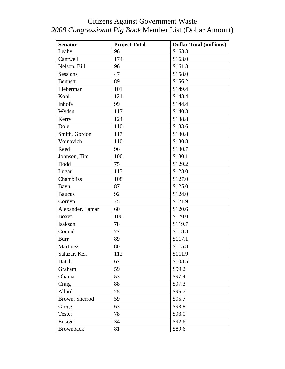### Citizens Against Government Waste *2008 Congressional Pig Book* Member List (Dollar Amount)

| <b>Senator</b>   | <b>Project Total</b> | <b>Dollar Total (millions)</b> |
|------------------|----------------------|--------------------------------|
| Leahy            | 96                   | \$163.3                        |
| Cantwell         | 174                  | \$163.0                        |
| Nelson, Bill     | 96                   | \$161.3                        |
| Sessions         | 47                   | \$158.0                        |
| <b>Bennett</b>   | 89                   | \$156.2                        |
| Lieberman        | 101                  | \$149.4                        |
| Kohl             | 121                  | \$148.4                        |
| Inhofe           | 99                   | \$144.4                        |
| Wyden            | 117                  | \$140.3                        |
| Kerry            | 124                  | \$138.8                        |
| Dole             | 110                  | \$133.6                        |
| Smith, Gordon    | 117                  | \$130.8                        |
| Voinovich        | 110                  | \$130.8                        |
| Reed             | 96                   | \$130.7                        |
| Johnson, Tim     | 100                  | \$130.1                        |
| Dodd             | 75                   | \$129.2                        |
| Lugar            | 113                  | \$128.0                        |
| Chambliss        | 108                  | \$127.0                        |
| Bayh             | 87                   | \$125.0                        |
| <b>Baucus</b>    | 92                   | \$124.0                        |
| Cornyn           | 75                   | \$121.9                        |
| Alexander, Lamar | 60                   | \$120.6                        |
| Boxer            | 100                  | \$120.0                        |
| Isakson          | 78                   | \$119.7                        |
| Conrad           | 77                   | \$118.3                        |
| <b>Burr</b>      | 89                   | \$117.1                        |
| Martinez         | 80                   | \$115.8                        |
| Salazar, Ken     | 112                  | \$111.9                        |
| Hatch            | 67                   | \$103.5                        |
| Graham           | 59                   | \$99.2                         |
| Obama            | 53                   | \$97.4                         |
| Craig            | 88                   | \$97.3                         |
| Allard           | 75                   | \$95.7                         |
| Brown, Sherrod   | 59                   | \$95.7                         |
| Gregg            | 63                   | \$93.8                         |
| Tester           | 78                   | \$93.0                         |
| Ensign           | 34                   | \$92.6                         |
| <b>Brownback</b> | 81                   | \$89.6                         |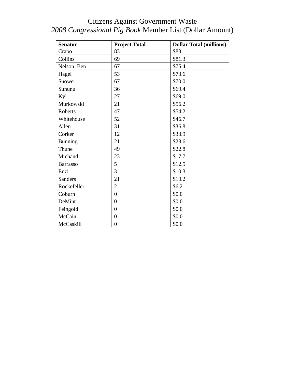### Citizens Against Government Waste *2008 Congressional Pig Book* Member List (Dollar Amount)

| <b>Senator</b>  | <b>Project Total</b> | <b>Dollar Total (millions)</b> |
|-----------------|----------------------|--------------------------------|
| Crapo           | 83                   | \$83.1                         |
| Collins         | 69                   | \$81.3                         |
| Nelson, Ben     | 67                   | \$75.4                         |
| Hagel           | 53                   | \$73.6                         |
| Snowe           | 67                   | \$70.0                         |
| Sununu          | 36                   | \$69.4                         |
| Kyl             | 27                   | \$69.0                         |
| Murkowski       | 21                   | \$56.2                         |
| Roberts         | 47                   | \$54.2                         |
| Whitehouse      | 52                   | \$46.7                         |
| Allen           | 31                   | \$36.8                         |
| Corker          | 12                   | \$33.9                         |
| <b>Bunning</b>  | 21                   | \$23.6                         |
| Thune           | 49                   | \$22.8                         |
| Michaud         | 23                   | \$17.7                         |
| <b>Barrasso</b> | 5                    | \$12.5                         |
| Enzi            | 3                    | \$10.3                         |
| <b>Sanders</b>  | 21                   | \$10.2                         |
| Rockefeller     | $\overline{2}$       | \$6.2\$                        |
| Coburn          | $\overline{0}$       | \$0.0                          |
| DeMint          | $\overline{0}$       | \$0.0                          |
| Feingold        | $\overline{0}$       | \$0.0                          |
| McCain          | $\overline{0}$       | \$0.0                          |
| McCaskill       | $\overline{0}$       | \$0.0                          |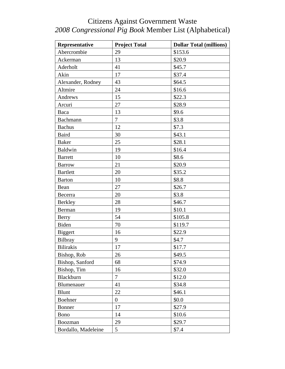| Representative      | <b>Project Total</b> | <b>Dollar Total (millions)</b> |
|---------------------|----------------------|--------------------------------|
| Abercrombie         | 29                   | \$153.6                        |
| Ackerman            | 13                   | \$20.9                         |
| Aderholt            | 41                   | \$45.7                         |
| Akin                | 17                   | \$37.4                         |
| Alexander, Rodney   | 43                   | \$64.5                         |
| Altmire             | 24                   | \$16.6                         |
| Andrews             | 15                   | \$22.3                         |
| Arcuri              | 27                   | \$28.9                         |
| Baca                | 13                   | \$9.6                          |
| Bachmann            | 7                    | \$3.8                          |
| <b>Bachus</b>       | 12                   | \$7.3                          |
| <b>Baird</b>        | 30                   | \$43.1                         |
| <b>Baker</b>        | 25                   | \$28.1                         |
| <b>Baldwin</b>      | 19                   | \$16.4                         |
| <b>Barrett</b>      | 10                   | \$8.6                          |
| <b>Barrow</b>       | 21                   | \$20.9                         |
| <b>Bartlett</b>     | 20                   | \$35.2                         |
| <b>Barton</b>       | 10                   | \$8.8                          |
| Bean                | 27                   | \$26.7                         |
| Becerra             | 20                   | \$3.8                          |
| <b>Berkley</b>      | 28                   | \$46.7                         |
| Berman              | 19                   | \$10.1                         |
| Berry               | 54                   | \$105.8                        |
| Biden               | 70                   | \$119.7                        |
| Biggert             | 16                   | \$22.9                         |
| Bilbray             | 9                    | \$4.7                          |
| <b>Bilirakis</b>    | 17                   | \$17.7                         |
| Bishop, Rob         | 26                   | \$49.5                         |
| Bishop, Sanford     | 68                   | \$74.9                         |
| Bishop, Tim         | 16                   | \$32.0                         |
| Blackburn           | 7                    | \$12.0                         |
| Blumenauer          | 41                   | \$34.8                         |
| <b>Blunt</b>        | 22                   | \$46.1                         |
| Boehner             | $\boldsymbol{0}$     | \$0.0                          |
| Bonner              | 17                   | \$27.9                         |
| Bono                | 14                   | \$10.6                         |
| Boozman             | 29                   | \$29.7                         |
| Bordallo, Madeleine | 5                    | \$7.4                          |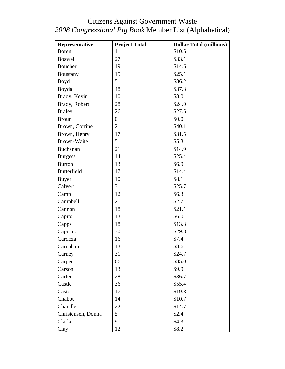| Representative     | <b>Project Total</b> | <b>Dollar Total (millions)</b> |
|--------------------|----------------------|--------------------------------|
| <b>Boren</b>       | 11                   | \$10.5                         |
| <b>Boswell</b>     | 27                   | \$33.1                         |
| Boucher            | 19                   | \$14.6                         |
| <b>Boustany</b>    | 15                   | \$25.1                         |
| Boyd               | 51                   | \$86.2                         |
| Boyda              | 48                   | \$37.3                         |
| Brady, Kevin       | 10                   | \$8.0                          |
| Brady, Robert      | 28                   | \$24.0                         |
| <b>Braley</b>      | 26                   | \$27.5                         |
| <b>Broun</b>       | $\boldsymbol{0}$     | \$0.0                          |
| Brown, Corrine     | 21                   | \$40.1                         |
| Brown, Henry       | 17                   | \$31.5                         |
| <b>Brown-Waite</b> | 5                    | \$5.3                          |
| <b>Buchanan</b>    | 21                   | \$14.9                         |
| <b>Burgess</b>     | 14                   | \$25.4                         |
| <b>Burton</b>      | 13                   | \$6.9                          |
| <b>Butterfield</b> | 17                   | \$14.4                         |
| <b>Buyer</b>       | 10                   | \$8.1                          |
| Calvert            | 31                   | \$25.7                         |
| Camp               | 12                   | \$6.3\$                        |
| Campbell           | $\overline{2}$       | \$2.7                          |
| Cannon             | 18                   | \$21.1                         |
| Capito             | 13                   | \$6.0                          |
| Capps              | 18                   | \$13.3                         |
| Capuano            | 30                   | \$29.8                         |
| Cardoza            | 16                   | \$7.4                          |
| Carnahan           | 13                   | \$8.6                          |
| Carney             | 31                   | \$24.7                         |
| Carper             | 66                   | \$85.0                         |
| Carson             | 13                   | \$9.9                          |
| Carter             | 28                   | \$36.7                         |
| Castle             | 36                   | \$55.4                         |
| Castor             | 17                   | \$19.8                         |
| Chabot             | 14                   | \$10.7                         |
| Chandler           | 22                   | \$14.7                         |
| Christensen, Donna | 5                    | \$2.4                          |
| Clarke             | 9                    | \$4.3                          |
| Clay               | 12                   | \$8.2                          |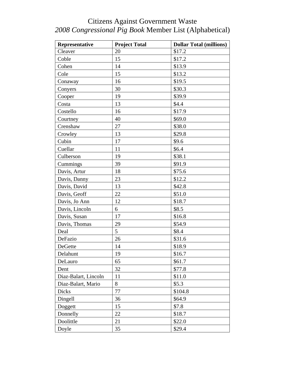| Representative       | <b>Project Total</b> | <b>Dollar Total (millions)</b> |
|----------------------|----------------------|--------------------------------|
| Cleaver              | 20                   | \$17.2                         |
| Coble                | 15                   | \$17.2                         |
| Cohen                | 14                   | \$13.9                         |
| Cole                 | 15                   | \$13.2                         |
| Conaway              | 16                   | \$19.5                         |
| Conyers              | 30                   | \$30.3                         |
| Cooper               | 19                   | \$39.9                         |
| Costa                | 13                   | \$4.4                          |
| Costello             | 16                   | \$17.9                         |
| Courtney             | 40                   | \$69.0                         |
| Crenshaw             | 27                   | \$38.0                         |
| Crowley              | 13                   | \$29.8                         |
| Cubin                | 17                   | \$9.6                          |
| Cuellar              | 11                   | \$6.4                          |
| Culberson            | 19                   | \$38.1                         |
| Cummings             | 39                   | \$91.9                         |
| Davis, Artur         | 18                   | \$75.6                         |
| Davis, Danny         | 23                   | \$12.2                         |
| Davis, David         | 13                   | \$42.8                         |
| Davis, Geoff         | 22                   | \$51.0                         |
| Davis, Jo Ann        | 12                   | \$18.7                         |
| Davis, Lincoln       | 6                    | \$8.5                          |
| Davis, Susan         | 17                   | \$16.8                         |
| Davis, Thomas        | 29                   | \$54.9                         |
| Deal                 | 5                    | \$8.4                          |
| DeFazio              | 26                   | \$31.6                         |
| DeGette              | 14                   | \$18.9                         |
| Delahunt             | 19                   | \$16.7                         |
| DeLauro              | 65                   | \$61.7                         |
| Dent                 | 32                   | \$77.8                         |
| Diaz-Balart, Lincoln | 11                   | \$11.0                         |
| Diaz-Balart, Mario   | 8                    | \$5.3                          |
| <b>Dicks</b>         | 77                   | \$104.8                        |
| Dingell              | 36                   | \$64.9                         |
| Doggett              | 15                   | \$7.8                          |
| Donnelly             | 22                   | \$18.7                         |
| Doolittle            | 21                   | \$22.0                         |
| Doyle                | 35                   | \$29.4                         |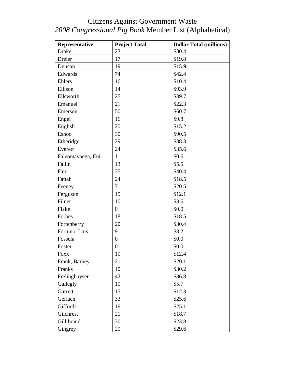| Representative    | <b>Project Total</b> | <b>Dollar Total (millions)</b> |
|-------------------|----------------------|--------------------------------|
| <b>Drake</b>      | 23                   | \$30.4                         |
| Dreier            | 17                   | \$19.8                         |
| Duncan            | 19                   | \$15.9                         |
| Edwards           | 74                   | \$42.4                         |
| Ehlers            | 16                   | \$10.4                         |
| Ellison           | 14                   | \$93.9                         |
| Ellsworth         | 25                   | \$39.7                         |
| Emanuel           | 21                   | \$22.3                         |
| Emerson           | 50                   | \$60.7                         |
| Engel             | 16                   | \$9.8                          |
| English           | 20                   | \$15.2                         |
| Eshoo             | 30                   | \$90.5                         |
| Etheridge         | 29                   | \$38.3                         |
| Everett           | 24                   | \$35.6                         |
| Faleomavaega, Eni | $\mathbf{1}$         | \$0.6                          |
| Fallin            | 13                   | \$5.5                          |
| Farr              | 35                   | \$40.4                         |
| Fattah            | 24                   | \$18.5                         |
| Feeney            | 7                    | \$20.5                         |
| Ferguson          | 19                   | \$12.1                         |
| Filner            | 10                   | \$3.6                          |
| Flake             | $\overline{0}$       | \$0.0                          |
| Forbes            | 18                   | \$18.5                         |
| Fortenberry       | 20                   | \$30.4                         |
| Fortuno, Luis     | 9                    | \$8.2                          |
| Fossela           | $\boldsymbol{0}$     | \$0.0                          |
| Foster            | $\boldsymbol{0}$     | \$0.0                          |
| <b>FOXX</b>       | 10                   | \$12.4                         |
| Frank, Barney     | 21                   | \$20.1                         |
| Franks            | 10                   | \$30.2                         |
| Frelinghuysen     | 42                   | \$86.8                         |
| Gallegly          | 10                   | \$5.7                          |
| Garrett           | 15                   | \$12.3                         |
| Gerlach           | 33                   | \$25.6                         |
| Giffords          | 19                   | \$25.1                         |
| Gilchrest         | 21                   | \$18.7                         |
| Gillibrand        | 30                   | \$23.8                         |
| Gingrey           | 20                   | \$29.6                         |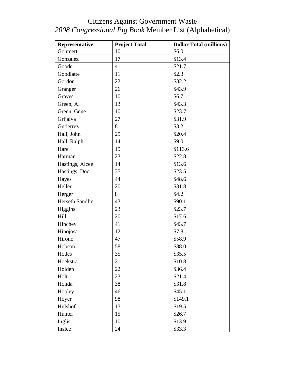| Representative  | <b>Project Total</b> | <b>Dollar Total (millions)</b> |
|-----------------|----------------------|--------------------------------|
| Gohmert         | 10                   | \$6.0                          |
| Gonzalez        | 17                   | \$13.4                         |
| Goode           | 41                   | \$21.7                         |
| Goodlatte       | 11                   | \$2.3                          |
| Gordon          | 22                   | \$32.2                         |
| Granger         | 26                   | \$43.9                         |
| Graves          | 10                   | \$6.7                          |
| Green, Al       | 13                   | \$43.3                         |
| Green, Gene     | 10                   | \$23.7                         |
| Grijalva        | 27                   | \$31.9                         |
| Gutierrez       | 8                    | \$3.2                          |
| Hall, John      | 25                   | \$20.4                         |
| Hall, Ralph     | 14                   | \$9.0                          |
| Hare            | 19                   | \$113.6                        |
| Harman          | 23                   | \$22.8                         |
| Hastings, Alcee | 14                   | \$13.6                         |
| Hastings, Doc   | 35                   | \$23.5                         |
| Hayes           | 44                   | \$48.6                         |
| Heller          | 20                   | \$31.8                         |
| Herger          | 8                    | \$4.2                          |
| Herseth Sandlin | 43                   | \$90.1                         |
| Higgins         | 23                   | \$23.7                         |
| Hill            | 20                   | \$17.6                         |
| Hinchey         | 41                   | \$43.7                         |
| Hinojosa        | 12                   | \$7.8                          |
| Hirono          | 47                   | \$58.9                         |
| Hobson          | 58                   | \$88.0                         |
| Hodes           | 35                   | \$35.5                         |
| Hoekstra        | 21                   | \$10.8                         |
| Holden          | 22                   | \$36.4                         |
| Holt            | 23                   | \$21.4                         |
| Honda           | 38                   | \$31.8                         |
| Hooley          | 46                   | \$45.1                         |
| Hoyer           | 98                   | \$149.1                        |
| Hulshof         | 13                   | \$19.5                         |
| Hunter          | 15                   | \$26.7                         |
| Inglis          | 10                   | \$13.9                         |
| Inslee          | 24                   | \$33.3                         |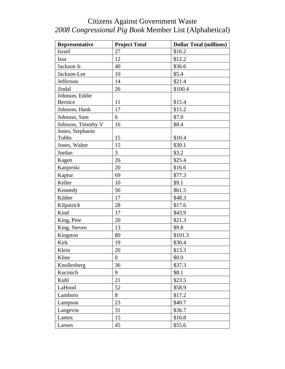| Representative     | <b>Project Total</b> | <b>Dollar Total (millions)</b> |
|--------------------|----------------------|--------------------------------|
| Israel             | 27                   | \$16.2                         |
| Issa               | 12                   | \$12.2                         |
| Jackson Jr.        | 40                   | \$36.6                         |
| Jackson-Lee        | 10                   | \$5.4                          |
| Jefferson          | 14                   | \$21.4                         |
| Jindal             | 26                   | \$100.4                        |
| Johnson, Eddie     |                      |                                |
| Bernice            | 11                   | \$15.4                         |
| Johnson, Hank      | 17                   | \$15.2                         |
| Johnson, Sam       | 6                    | \$7.0                          |
| Johnson, Timothy V | 16                   | \$8.4                          |
| Jones, Stephanie   |                      |                                |
| Tubbs              | 15                   | \$10.4                         |
| Jones, Walter      | 15                   | \$30.1                         |
| Jordan             | 3                    | \$3.2                          |
| Kagen              | 26                   | \$25.4                         |
| Kanjorski          | 20                   | \$16.6                         |
| Kaptur             | 69                   | \$77.3                         |
| Keller             | 10                   | \$9.1                          |
| Kennedy            | 56                   | \$61.5                         |
| Kildee             | 17                   | \$48.3                         |
| Kilpatrick         | 28                   | \$17.6                         |
| Kind               | 17                   | \$43.9                         |
| King, Pete         | 20                   | \$21.3                         |
| King, Steven       | 13                   | \$9.8                          |
| Kingston           | 80                   | \$101.3                        |
| Kirk               | 19                   | \$30.4                         |
| Klein              | 20                   | \$13.3                         |
| Kline              | $\boldsymbol{0}$     | \$0.0                          |
| Knollenberg        | 36                   | \$37.3                         |
| Kucinich           | 9                    | \$8.1                          |
| Kuhl               | 21                   | \$23.5                         |
| LaHood             | 52                   | \$58.9                         |
| Lamborn            | 8                    | \$17.2                         |
| Lampson            | 23                   | \$40.7                         |
| Langevin           | 31                   | \$36.7                         |
| Lantos             | 15                   | \$16.8                         |
| Larsen             | 45                   | \$55.6                         |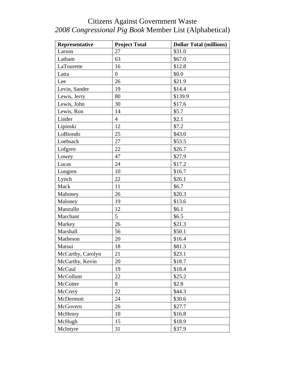| Representative    | <b>Project Total</b> | <b>Dollar Total (millions)</b> |
|-------------------|----------------------|--------------------------------|
| Larson            | 27                   | \$31.0                         |
| Latham            | 63                   | \$67.0                         |
| LaTourette        | 16                   | \$12.8                         |
| Latta             | $\overline{0}$       | \$0.0                          |
| Lee               | 26                   | \$21.9                         |
| Levin, Sander     | 19                   | \$14.4                         |
| Lewis, Jerry      | 80                   | \$139.9                        |
| Lewis, John       | 30                   | \$17.6                         |
| Lewis, Ron        | 14                   | \$5.7                          |
| Linder            | $\overline{4}$       | \$2.1                          |
| Lipinski          | 12                   | \$7.2                          |
| LoBiondo          | 25                   | \$43.0                         |
| Loebsack          | 27                   | \$53.5                         |
| Lofgren           | 22                   | \$26.7                         |
| Lowey             | 47                   | \$27.9                         |
| Lucas             | 24                   | \$17.2                         |
| Lungren           | 10                   | \$16.7                         |
| Lynch             | 22                   | \$26.1                         |
| Mack              | 11                   | \$6.7                          |
| Mahoney           | 26                   | \$20.3                         |
| Maloney           | 19                   | \$13.6                         |
| Manzullo          | 12                   | \$6.1                          |
| Marchant          | 5                    | \$6.5                          |
| Markey            | 26                   | \$21.3                         |
| Marshall          | 56                   | \$50.1                         |
| Matheson          | 20                   | \$16.4                         |
| Matsui            | 18                   | \$81.3                         |
| McCarthy, Carolyn | 21                   | \$23.1                         |
| McCarthy, Kevin   | 20                   | \$18.7                         |
| McCaul            | 19                   | \$18.4                         |
| McCollum          | 22                   | \$25.2                         |
| McCotter          | 8                    | \$2.8                          |
| McCrery           | 22                   | \$44.3                         |
| McDermott         | 24                   | \$30.6                         |
| McGovern          | 26                   | \$27.7                         |
| McHenry           | 10                   | \$16.8                         |
| McHugh            | 15                   | \$18.9                         |
| McIntyre          | 31                   | \$37.9                         |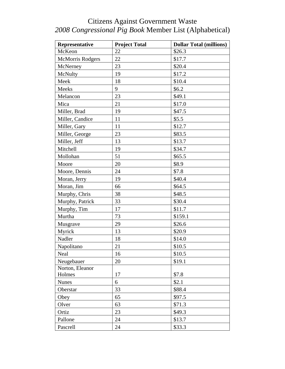| Representative          | <b>Project Total</b> | <b>Dollar Total (millions)</b> |
|-------------------------|----------------------|--------------------------------|
| McKeon                  | 22                   | \$26.3                         |
| <b>McMorris Rodgers</b> | 22                   | \$17.7                         |
| McNerney                | 23                   | \$20.4                         |
| McNulty                 | 19                   | \$17.2                         |
| Meek                    | 18                   | \$10.4                         |
| <b>Meeks</b>            | 9                    | \$6.2\$                        |
| Melancon                | 23                   | \$49.1                         |
| Mica                    | 21                   | \$17.0                         |
| Miller, Brad            | 19                   | \$47.5                         |
| Miller, Candice         | 11                   | \$5.5                          |
| Miller, Gary            | 11                   | \$12.7                         |
| Miller, George          | 23                   | \$83.5                         |
| Miller, Jeff            | 13                   | \$13.7                         |
| Mitchell                | 19                   | \$34.7                         |
| Mollohan                | 51                   | \$65.5                         |
| Moore                   | 20                   | \$8.9                          |
| Moore, Dennis           | 24                   | \$7.8                          |
| Moran, Jerry            | 19                   | \$40.4                         |
| Moran, Jim              | 66                   | \$64.5                         |
| Murphy, Chris           | 38                   | \$48.5                         |
| Murphy, Patrick         | 33                   | \$30.4                         |
| Murphy, Tim             | 17                   | \$11.7                         |
| Murtha                  | 73                   | \$159.1                        |
| Musgrave                | 29                   | \$26.6                         |
| Myrick                  | 13                   | \$20.9                         |
| Nadler                  | 18                   | \$14.0                         |
| Napolitano              | 21                   | \$10.5                         |
| Neal                    | 16                   | \$10.5                         |
| Neugebauer              | 20                   | \$19.1                         |
| Norton, Eleanor         |                      |                                |
| Holmes                  | 17                   | \$7.8                          |
| <b>Nunes</b>            | 6                    | \$2.1                          |
| Oberstar                | 33                   | \$88.4                         |
| Obey                    | 65                   | \$97.5                         |
| Olver                   | 63                   | \$71.3                         |
| Ortiz                   | 23                   | \$49.3                         |
| Pallone                 | 24                   | \$13.7                         |
| Pascrell                | 24                   | \$33.3                         |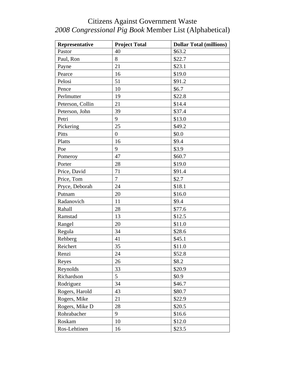| Representative   | <b>Project Total</b> | <b>Dollar Total (millions)</b> |
|------------------|----------------------|--------------------------------|
| Pastor           | 40                   | \$63.2                         |
| Paul, Ron        | 8                    | \$22.7                         |
| Payne            | 21                   | \$23.1                         |
| Pearce           | 16                   | \$19.0                         |
| Pelosi           | 51                   | \$91.2                         |
| Pence            | 10                   | \$6.7                          |
| Perlmutter       | 19                   | \$22.8                         |
| Peterson, Collin | 21                   | \$14.4                         |
| Peterson, John   | 39                   | \$37.4                         |
| Petri            | 9                    | \$13.0                         |
| Pickering        | 25                   | \$49.2                         |
| Pitts            | $\boldsymbol{0}$     | \$0.0                          |
| Platts           | 16                   | \$9.4                          |
| Poe              | 9                    | \$3.9                          |
| Pomeroy          | 47                   | \$60.7                         |
| Porter           | 28                   | \$19.0                         |
| Price, David     | 71                   | \$91.4                         |
| Price, Tom       | $\overline{7}$       | \$2.7                          |
| Pryce, Deborah   | 24                   | \$18.1                         |
| Putnam           | 20                   | \$16.0                         |
| Radanovich       | 11                   | \$9.4                          |
| Rahall           | 28                   | \$77.6                         |
| Ramstad          | 13                   | \$12.5                         |
| Rangel           | 20                   | \$11.0                         |
| Regula           | 34                   | \$28.6                         |
| Rehberg          | 41                   | \$45.1                         |
| Reichert         | 35                   | \$11.0                         |
| Renzi            | 24                   | \$52.8                         |
| Reyes            | 26                   | \$8.2                          |
| Reynolds         | 33                   | \$20.9                         |
| Richardson       | 5                    | \$0.9                          |
| Rodriguez        | 34                   | \$46.7                         |
| Rogers, Harold   | 43                   | \$80.7                         |
| Rogers, Mike     | 21                   | \$22.9                         |
| Rogers, Mike D   | 28                   | \$20.5                         |
| Rohrabacher      | 9                    | \$16.6                         |
| Roskam           | 10                   | \$12.0                         |
| Ros-Lehtinen     | 16                   | \$23.5                         |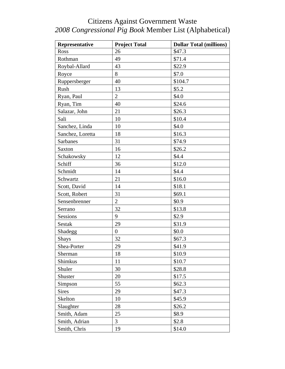| Representative   | <b>Project Total</b> | <b>Dollar Total (millions)</b> |
|------------------|----------------------|--------------------------------|
| Ross             | 26                   | \$47.3                         |
| Rothman          | 49                   | \$71.4                         |
| Roybal-Allard    | 43                   | \$22.9                         |
| Royce            | 8                    | \$7.0                          |
| Ruppersberger    | 40                   | \$104.7                        |
| Rush             | 13                   | \$5.2                          |
| Ryan, Paul       | $\overline{2}$       | \$4.0                          |
| Ryan, Tim        | 40                   | \$24.6                         |
| Salazar, John    | 21                   | \$26.3                         |
| Sali             | 10                   | \$10.4                         |
| Sanchez, Linda   | 10                   | \$4.0                          |
| Sanchez, Loretta | 18                   | \$16.3                         |
| <b>Sarbanes</b>  | 31                   | \$74.9                         |
| Saxton           | 16                   | \$26.2                         |
| Schakowsky       | 12                   | \$4.4                          |
| Schiff           | 36                   | \$12.0                         |
| Schmidt          | 14                   | \$4.4                          |
| Schwartz         | 21                   | \$16.0                         |
| Scott, David     | 14                   | \$18.1                         |
| Scott, Robert    | 31                   | \$69.1                         |
| Sensenbrenner    | $\overline{2}$       | \$0.9                          |
| Serrano          | 32                   | \$13.8                         |
| Sessions         | 9                    | \$2.9                          |
| Sestak           | 29                   | \$31.9                         |
| Shadegg          | $\boldsymbol{0}$     | \$0.0                          |
| <b>Shays</b>     | 32                   | \$67.3                         |
| Shea-Porter      | 29                   | \$41.9                         |
| Sherman          | 18                   | \$10.9                         |
| Shimkus          | 11                   | \$10.7                         |
| Shuler           | 30                   | \$28.8                         |
| Shuster          | 20                   | \$17.5                         |
| Simpson          | 55                   | \$62.3\$                       |
| <b>Sires</b>     | 29                   | \$47.3                         |
| Skelton          | 10                   | \$45.9                         |
| Slaughter        | 28                   | \$26.2                         |
| Smith, Adam      | 25                   | \$8.9                          |
| Smith, Adrian    | 3                    | \$2.8                          |
| Smith, Chris     | 19                   | \$14.0                         |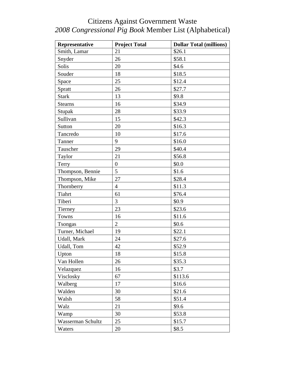| Representative    | <b>Project Total</b> | <b>Dollar Total (millions)</b> |
|-------------------|----------------------|--------------------------------|
| Smith, Lamar      | 21                   | \$26.1                         |
| Snyder            | 26                   | \$58.1                         |
| Solis             | 20                   | \$4.6                          |
| Souder            | 18                   | \$18.5                         |
| Space             | 25                   | \$12.4                         |
| Spratt            | 26                   | \$27.7                         |
| <b>Stark</b>      | 13                   | \$9.8                          |
| <b>Stearns</b>    | 16                   | \$34.9                         |
| Stupak            | 28                   | \$33.9                         |
| Sullivan          | 15                   | \$42.3                         |
| Sutton            | 20                   | \$16.3                         |
| Tancredo          | 10                   | \$17.6                         |
| Tanner            | 9                    | \$16.0                         |
| Tauscher          | 29                   | \$40.4                         |
| Taylor            | 21                   | \$56.8                         |
| Terry             | $\boldsymbol{0}$     | \$0.0                          |
| Thompson, Bennie  | 5                    | \$1.6                          |
| Thompson, Mike    | 27                   | \$28.4                         |
| Thornberry        | $\overline{4}$       | \$11.3                         |
| Tiahrt            | 61                   | \$76.4                         |
| Tiberi            | 3                    | \$0.9                          |
| Tierney           | 23                   | \$23.6                         |
| Towns             | 16                   | \$11.6                         |
| Tsongas           | $\overline{2}$       | \$0.6                          |
| Turner, Michael   | 19                   | \$22.1                         |
| Udall, Mark       | 24                   | \$27.6                         |
| Udall, Tom        | 42                   | \$52.9                         |
| Upton             | 18                   | \$15.8                         |
| Van Hollen        | 26                   | \$35.3                         |
| Velazquez         | 16                   | \$3.7                          |
| Visclosky         | 67                   | \$113.6                        |
| Walberg           | 17                   | \$16.6                         |
| Walden            | 30                   | \$21.6                         |
| Walsh             | 58                   | \$51.4                         |
| Walz              | 21                   | \$9.6                          |
| Wamp              | 30                   | \$53.8                         |
| Wasserman Schultz | 25                   | \$15.7                         |
| Waters            | 20                   | \$8.5                          |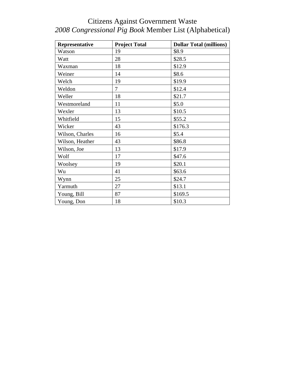| Representative  | <b>Project Total</b> | <b>Dollar Total (millions)</b> |
|-----------------|----------------------|--------------------------------|
| Watson          | 19                   | \$8.9                          |
| Watt            | 28                   | \$28.5                         |
| Waxman          | 18                   | \$12.9                         |
| Weiner          | 14                   | \$8.6                          |
| Welch           | 19                   | \$19.9                         |
| Weldon          | 7                    | \$12.4                         |
| Weller          | 18                   | \$21.7                         |
| Westmoreland    | 11                   | \$5.0                          |
| Wexler          | 13                   | \$10.5                         |
| Whitfield       | 15                   | \$55.2                         |
| Wicker          | 43                   | \$176.3                        |
| Wilson, Charles | 16                   | \$5.4                          |
| Wilson, Heather | 43                   | \$86.8                         |
| Wilson, Joe     | 13                   | \$17.9                         |
| Wolf            | 17                   | \$47.6                         |
| Woolsey         | 19                   | \$20.1                         |
| Wu              | 41                   | \$63.6                         |
| Wynn            | 25                   | \$24.7                         |
| Yarmuth         | 27                   | \$13.1                         |
| Young, Bill     | 87                   | \$169.5                        |
| Young, Don      | 18                   | \$10.3                         |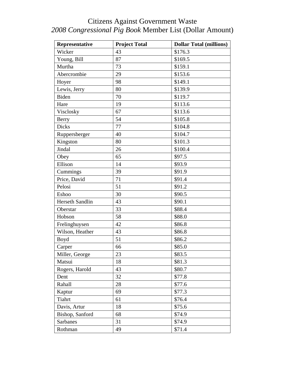| Representative  | <b>Project Total</b> | <b>Dollar Total (millions)</b> |
|-----------------|----------------------|--------------------------------|
| Wicker          | 43                   | \$176.3                        |
| Young, Bill     | 87                   | \$169.5                        |
| Murtha          | 73                   | \$159.1                        |
| Abercrombie     | 29                   | \$153.6                        |
| Hoyer           | 98                   | \$149.1                        |
| Lewis, Jerry    | 80                   | \$139.9                        |
| Biden           | 70                   | \$119.7                        |
| Hare            | 19                   | \$113.6                        |
| Visclosky       | 67                   | \$113.6                        |
| Berry           | 54                   | \$105.8                        |
| <b>Dicks</b>    | 77                   | \$104.8                        |
| Ruppersberger   | 40                   | \$104.7                        |
| Kingston        | 80                   | \$101.3                        |
| Jindal          | 26                   | \$100.4                        |
| Obey            | 65                   | \$97.5                         |
| Ellison         | 14                   | \$93.9                         |
| Cummings        | 39                   | \$91.9                         |
| Price, David    | 71                   | \$91.4                         |
| Pelosi          | 51                   | \$91.2                         |
| Eshoo           | 30                   | \$90.5                         |
| Herseth Sandlin | 43                   | \$90.1                         |
| Oberstar        | 33                   | \$88.4                         |
| Hobson          | 58                   | \$88.0                         |
| Frelinghuysen   | 42                   | \$86.8                         |
| Wilson, Heather | 43                   | \$86.8                         |
| Boyd            | 51                   | \$86.2                         |
| Carper          | 66                   | \$85.0                         |
| Miller, George  | 23                   | \$83.5                         |
| Matsui          | 18                   | \$81.3                         |
| Rogers, Harold  | 43                   | \$80.7                         |
| Dent            | 32                   | \$77.8                         |
| Rahall          | 28                   | \$77.6                         |
| Kaptur          | 69                   | \$77.3                         |
| Tiahrt          | 61                   | \$76.4                         |
| Davis, Artur    | 18                   | \$75.6                         |
| Bishop, Sanford | 68                   | \$74.9                         |
| <b>Sarbanes</b> | 31                   | \$74.9                         |
| Rothman         | 49                   | \$71.4                         |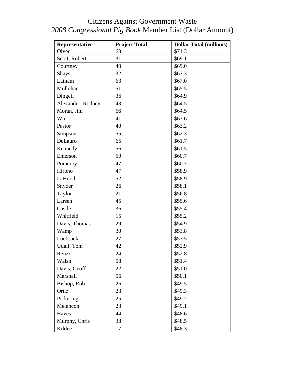| Representative    | <b>Project Total</b> | <b>Dollar Total (millions)</b> |
|-------------------|----------------------|--------------------------------|
| Olver             | 63                   | \$71.3                         |
| Scott, Robert     | 31                   | \$69.1                         |
| Courtney          | 40                   | \$69.0                         |
| Shays             | 32                   | \$67.3                         |
| Latham            | 63                   | \$67.0                         |
| Mollohan          | 51                   | \$65.5                         |
| Dingell           | 36                   | \$64.9                         |
| Alexander, Rodney | 43                   | \$64.5                         |
| Moran, Jim        | 66                   | \$64.5                         |
| Wu                | 41                   | \$63.6                         |
| Pastor            | 40                   | \$63.2                         |
| Simpson           | 55                   | \$62.3\$                       |
| DeLauro           | 65                   | \$61.7                         |
| Kennedy           | 56                   | \$61.5                         |
| Emerson           | 50                   | \$60.7                         |
| Pomeroy           | 47                   | \$60.7                         |
| Hirono            | 47                   | \$58.9                         |
| LaHood            | 52                   | \$58.9                         |
| Snyder            | 26                   | \$58.1                         |
| Taylor            | 21                   | \$56.8                         |
| Larsen            | 45                   | \$55.6                         |
| Castle            | 36                   | \$55.4                         |
| Whitfield         | 15                   | \$55.2                         |
| Davis, Thomas     | 29                   | \$54.9                         |
| Wamp              | 30                   | \$53.8                         |
| Loebsack          | 27                   | \$53.5                         |
| Udall, Tom        | 42                   | \$52.9                         |
| Renzi             | 24                   | \$52.8                         |
| Walsh             | 58                   | \$51.4                         |
| Davis, Geoff      | 22                   | \$51.0                         |
| Marshall          | 56                   | \$50.1                         |
| Bishop, Rob       | 26                   | \$49.5                         |
| Ortiz             | 23                   | \$49.3                         |
| Pickering         | 25                   | \$49.2                         |
| Melancon          | 23                   | \$49.1                         |
| Hayes             | 44                   | \$48.6                         |
| Murphy, Chris     | 38                   | \$48.5                         |
| Kildee            | 17                   | \$48.3                         |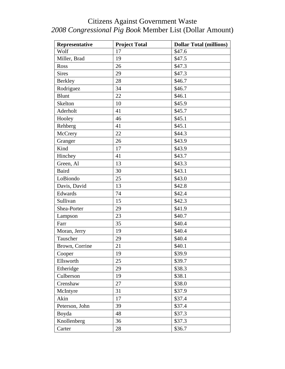| Representative | <b>Project Total</b> | <b>Dollar Total (millions)</b> |
|----------------|----------------------|--------------------------------|
| Wolf           | 17                   | $\overline{$}47.6$             |
| Miller, Brad   | 19                   | \$47.5                         |
| Ross           | 26                   | \$47.3                         |
| <b>Sires</b>   | 29                   | \$47.3                         |
| <b>Berkley</b> | 28                   | \$46.7                         |
| Rodriguez      | 34                   | \$46.7                         |
| <b>Blunt</b>   | 22                   | \$46.1                         |
| Skelton        | 10                   | \$45.9                         |
| Aderholt       | 41                   | \$45.7                         |
| Hooley         | 46                   | \$45.1                         |
| Rehberg        | 41                   | \$45.1                         |
| McCrery        | 22                   | \$44.3                         |
| Granger        | 26                   | \$43.9                         |
| Kind           | 17                   | \$43.9                         |
| Hinchey        | 41                   | \$43.7                         |
| Green, Al      | 13                   | \$43.3                         |
| <b>Baird</b>   | 30                   | \$43.1                         |
| LoBiondo       | 25                   | \$43.0                         |
| Davis, David   | 13                   | \$42.8                         |
| Edwards        | 74                   | \$42.4                         |
| Sullivan       | 15                   | \$42.3                         |
| Shea-Porter    | 29                   | \$41.9                         |
| Lampson        | 23                   | \$40.7                         |
| Farr           | 35                   | \$40.4                         |
| Moran, Jerry   | 19                   | \$40.4                         |
| Tauscher       | 29                   | \$40.4                         |
| Brown, Corrine | 21                   | \$40.1                         |
| Cooper         | 19                   | \$39.9                         |
| Ellsworth      | 25                   | \$39.7                         |
| Etheridge      | 29                   | \$38.3                         |
| Culberson      | 19                   | \$38.1                         |
| Crenshaw       | 27                   | \$38.0                         |
| McIntyre       | 31                   | \$37.9                         |
| Akin           | 17                   | \$37.4                         |
| Peterson, John | 39                   | \$37.4                         |
| Boyda          | 48                   | \$37.3                         |
| Knollenberg    | 36                   | \$37.3                         |
| Carter         | 28                   | \$36.7                         |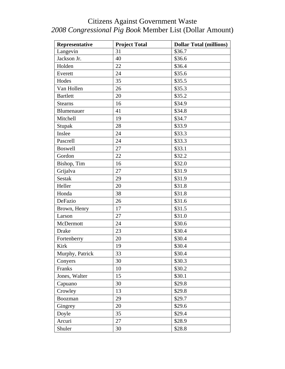| Representative  | <b>Project Total</b> | <b>Dollar Total (millions)</b> |
|-----------------|----------------------|--------------------------------|
| Langevin        | 31                   | \$36.7                         |
| Jackson Jr.     | 40                   | \$36.6                         |
| Holden          | 22                   | \$36.4                         |
| Everett         | 24                   | \$35.6                         |
| Hodes           | 35                   | \$35.5                         |
| Van Hollen      | 26                   | \$35.3                         |
| <b>Bartlett</b> | 20                   | \$35.2                         |
| <b>Stearns</b>  | 16                   | \$34.9                         |
| Blumenauer      | 41                   | \$34.8                         |
| Mitchell        | 19                   | \$34.7                         |
| Stupak          | 28                   | \$33.9                         |
| Inslee          | 24                   | \$33.3                         |
| Pascrell        | 24                   | \$33.3                         |
| <b>Boswell</b>  | 27                   | \$33.1                         |
| Gordon          | 22                   | \$32.2                         |
| Bishop, Tim     | 16                   | \$32.0                         |
| Grijalva        | 27                   | \$31.9                         |
| <b>Sestak</b>   | 29                   | \$31.9                         |
| Heller          | 20                   | \$31.8                         |
| Honda           | 38                   | \$31.8                         |
| DeFazio         | 26                   | \$31.6                         |
| Brown, Henry    | 17                   | \$31.5                         |
| Larson          | 27                   | \$31.0                         |
| McDermott       | 24                   | \$30.6                         |
| <b>Drake</b>    | 23                   | \$30.4                         |
| Fortenberry     | 20                   | \$30.4                         |
| Kirk            | 19                   | \$30.4                         |
| Murphy, Patrick | 33                   | \$30.4                         |
| Conyers         | 30                   | \$30.3                         |
| Franks          | 10                   | \$30.2                         |
| Jones, Walter   | 15                   | \$30.1                         |
| Capuano         | 30                   | \$29.8                         |
| Crowley         | 13                   | \$29.8                         |
| Boozman         | 29                   | \$29.7                         |
| Gingrey         | 20                   | \$29.6                         |
| Doyle           | 35                   | \$29.4                         |
| Arcuri          | 27                   | \$28.9                         |
| Shuler          | 30                   | \$28.8                         |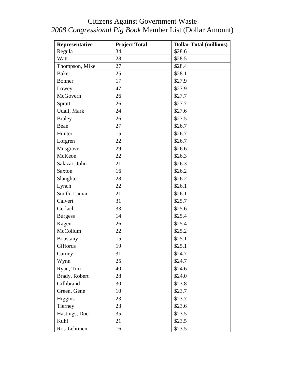| Representative  | <b>Project Total</b> | <b>Dollar Total (millions)</b> |
|-----------------|----------------------|--------------------------------|
| Regula          | 34                   | \$28.6                         |
| Watt            | 28                   | \$28.5                         |
| Thompson, Mike  | 27                   | \$28.4                         |
| <b>Baker</b>    | 25                   | \$28.1                         |
| Bonner          | 17                   | \$27.9                         |
| Lowey           | 47                   | \$27.9                         |
| McGovern        | 26                   | \$27.7                         |
| Spratt          | 26                   | \$27.7                         |
| Udall, Mark     | 24                   | \$27.6                         |
| <b>Braley</b>   | 26                   | \$27.5                         |
| Bean            | 27                   | \$26.7                         |
| Hunter          | 15                   | \$26.7                         |
| Lofgren         | 22                   | \$26.7                         |
| Musgrave        | 29                   | \$26.6                         |
| McKeon          | 22                   | \$26.3                         |
| Salazar, John   | 21                   | \$26.3                         |
| <b>Saxton</b>   | 16                   | \$26.2                         |
| Slaughter       | 28                   | \$26.2                         |
| Lynch           | 22                   | \$26.1                         |
| Smith, Lamar    | 21                   | \$26.1                         |
| Calvert         | 31                   | \$25.7                         |
| Gerlach         | 33                   | \$25.6                         |
| <b>Burgess</b>  | 14                   | \$25.4                         |
| Kagen           | 26                   | \$25.4                         |
| McCollum        | 22                   | \$25.2                         |
| <b>Boustany</b> | 15                   | \$25.1                         |
| Giffords        | 19                   | \$25.1                         |
| Carney          | 31                   | \$24.7                         |
| Wynn            | 25                   | \$24.7                         |
| Ryan, Tim       | 40                   | \$24.6                         |
| Brady, Robert   | 28                   | \$24.0                         |
| Gillibrand      | 30                   | \$23.8                         |
| Green, Gene     | 10                   | \$23.7                         |
| Higgins         | 23                   | \$23.7                         |
| Tierney         | 23                   | \$23.6                         |
| Hastings, Doc   | 35                   | \$23.5                         |
| Kuhl            | 21                   | \$23.5                         |
| Ros-Lehtinen    | 16                   | \$23.5                         |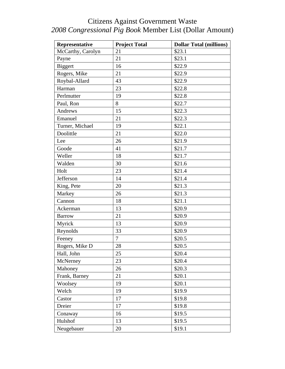| Representative    | <b>Project Total</b> | <b>Dollar Total (millions)</b> |
|-------------------|----------------------|--------------------------------|
| McCarthy, Carolyn | 21                   | \$23.1                         |
| Payne             | 21                   | \$23.1                         |
| <b>Biggert</b>    | 16                   | \$22.9                         |
| Rogers, Mike      | 21                   | \$22.9                         |
| Roybal-Allard     | 43                   | \$22.9                         |
| Harman            | 23                   | \$22.8                         |
| Perlmutter        | 19                   | \$22.8                         |
| Paul, Ron         | 8                    | \$22.7                         |
| Andrews           | 15                   | \$22.3                         |
| Emanuel           | 21                   | \$22.3                         |
| Turner, Michael   | 19                   | \$22.1                         |
| Doolittle         | 21                   | \$22.0                         |
| Lee               | 26                   | \$21.9                         |
| Goode             | 41                   | \$21.7                         |
| Weller            | 18                   | \$21.7                         |
| Walden            | 30                   | \$21.6                         |
| Holt              | 23                   | \$21.4                         |
| Jefferson         | 14                   | \$21.4                         |
| King, Pete        | 20                   | \$21.3                         |
| Markey            | 26                   | \$21.3                         |
| Cannon            | 18                   | \$21.1                         |
| Ackerman          | 13                   | \$20.9                         |
| <b>Barrow</b>     | 21                   | \$20.9                         |
| Myrick            | 13                   | \$20.9                         |
| Reynolds          | 33                   | \$20.9                         |
| Feeney            | $\overline{7}$       | \$20.5                         |
| Rogers, Mike D    | 28                   | \$20.5                         |
| Hall, John        | 25                   | \$20.4                         |
| McNerney          | 23                   | \$20.4                         |
| Mahoney           | 26                   | \$20.3                         |
| Frank, Barney     | 21                   | \$20.1                         |
| Woolsey           | 19                   | \$20.1                         |
| Welch             | 19                   | \$19.9                         |
| Castor            | 17                   | \$19.8                         |
| Dreier            | 17                   | \$19.8                         |
| Conaway           | 16                   | \$19.5                         |
| Hulshof           | 13                   | \$19.5                         |
| Neugebauer        | 20                   | \$19.1                         |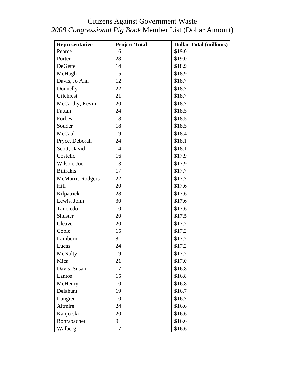| Representative          | <b>Project Total</b> | <b>Dollar Total (millions)</b> |
|-------------------------|----------------------|--------------------------------|
| Pearce                  | 16                   | \$19.0                         |
| Porter                  | 28                   | \$19.0                         |
| DeGette                 | 14                   | \$18.9                         |
| McHugh                  | 15                   | \$18.9                         |
| Davis, Jo Ann           | 12                   | \$18.7                         |
| Donnelly                | 22                   | \$18.7                         |
| Gilchrest               | 21                   | \$18.7                         |
| McCarthy, Kevin         | 20                   | \$18.7                         |
| Fattah                  | 24                   | \$18.5                         |
| Forbes                  | 18                   | \$18.5                         |
| Souder                  | 18                   | \$18.5                         |
| McCaul                  | 19                   | \$18.4                         |
| Pryce, Deborah          | 24                   | \$18.1                         |
| Scott, David            | 14                   | \$18.1                         |
| Costello                | 16                   | \$17.9                         |
| Wilson, Joe             | 13                   | \$17.9                         |
| <b>Bilirakis</b>        | 17                   | \$17.7                         |
| <b>McMorris Rodgers</b> | 22                   | \$17.7                         |
| Hill                    | 20                   | \$17.6                         |
| Kilpatrick              | 28                   | \$17.6                         |
| Lewis, John             | 30                   | \$17.6                         |
| Tancredo                | 10                   | \$17.6                         |
| Shuster                 | 20                   | \$17.5                         |
| Cleaver                 | 20                   | \$17.2                         |
| Coble                   | 15                   | \$17.2                         |
| Lamborn                 | 8                    | \$17.2                         |
| Lucas                   | 24                   | \$17.2                         |
| McNulty                 | 19                   | \$17.2                         |
| Mica                    | 21                   | \$17.0                         |
| Davis, Susan            | 17                   | \$16.8                         |
| Lantos                  | 15                   | \$16.8                         |
| McHenry                 | 10                   | \$16.8                         |
| Delahunt                | 19                   | \$16.7                         |
| Lungren                 | 10                   | \$16.7                         |
| Altmire                 | 24                   | \$16.6                         |
| Kanjorski               | 20                   | \$16.6                         |
| Rohrabacher             | 9                    | \$16.6                         |
| Walberg                 | 17                   | \$16.6                         |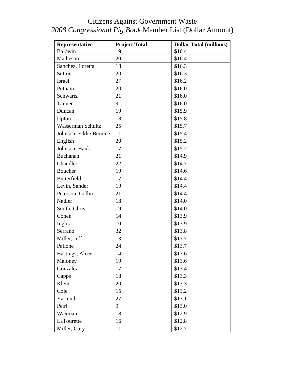| Representative           | <b>Project Total</b> | <b>Dollar Total (millions)</b> |
|--------------------------|----------------------|--------------------------------|
| Baldwin                  | 19                   | \$16.4                         |
| Matheson                 | 20                   | \$16.4                         |
| Sanchez, Loretta         | 18                   | \$16.3                         |
| <b>Sutton</b>            | 20                   | \$16.3                         |
| <b>Israel</b>            | 27                   | \$16.2                         |
| Putnam                   | 20                   | \$16.0                         |
| Schwartz                 | 21                   | \$16.0                         |
| Tanner                   | 9                    | \$16.0                         |
| Duncan                   | 19                   | \$15.9                         |
| Upton                    | 18                   | \$15.8                         |
| <b>Wasserman Schultz</b> | 25                   | \$15.7                         |
| Johnson, Eddie Bernice   | 11                   | \$15.4                         |
| English                  | 20                   | \$15.2                         |
| Johnson, Hank            | 17                   | \$15.2                         |
| <b>Buchanan</b>          | 21                   | \$14.9                         |
| Chandler                 | 22                   | \$14.7                         |
| <b>Boucher</b>           | 19                   | \$14.6                         |
| <b>Butterfield</b>       | 17                   | \$14.4                         |
| Levin, Sander            | 19                   | \$14.4                         |
| Peterson, Collin         | 21                   | \$14.4                         |
| Nadler                   | 18                   | \$14.0                         |
| Smith, Chris             | 19                   | \$14.0                         |
| Cohen                    | 14                   | \$13.9                         |
| Inglis                   | 10                   | \$13.9                         |
| Serrano                  | 32                   | \$13.8                         |
| Miller, Jeff             | 13                   | \$13.7                         |
| Pallone                  | 24                   | \$13.7                         |
| Hastings, Alcee          | 14                   | \$13.6                         |
| Maloney                  | 19                   | \$13.6                         |
| Gonzalez                 | 17                   | \$13.4                         |
| Capps                    | 18                   | \$13.3                         |
| Klein                    | 20                   | \$13.3                         |
| Cole                     | 15                   | \$13.2                         |
| Yarmuth                  | 27                   | \$13.1                         |
| Petri                    | 9                    | \$13.0                         |
| Waxman                   | 18                   | \$12.9                         |
| LaTourette               | 16                   | \$12.8                         |
| Miller, Gary             | 11                   | \$12.7                         |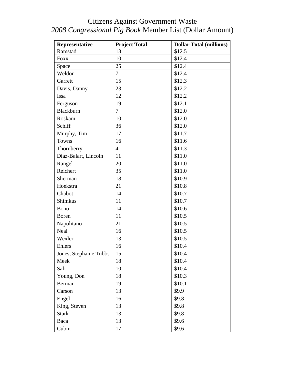| Representative         | <b>Project Total</b> | <b>Dollar Total (millions)</b> |
|------------------------|----------------------|--------------------------------|
| Ramstad                | 13                   | \$12.5                         |
| <b>Foxx</b>            | 10                   | \$12.4                         |
| Space                  | 25                   | \$12.4                         |
| Weldon                 | $\overline{7}$       | \$12.4                         |
| Garrett                | 15                   | \$12.3                         |
| Davis, Danny           | 23                   | \$12.2                         |
| Issa                   | 12                   | \$12.2                         |
| Ferguson               | 19                   | \$12.1                         |
| Blackburn              | $\overline{7}$       | \$12.0                         |
| Roskam                 | 10                   | \$12.0                         |
| Schiff                 | 36                   | \$12.0                         |
| Murphy, Tim            | 17                   | \$11.7                         |
| Towns                  | 16                   | \$11.6                         |
| Thornberry             | $\overline{4}$       | \$11.3                         |
| Diaz-Balart, Lincoln   | 11                   | \$11.0                         |
| Rangel                 | 20                   | \$11.0                         |
| Reichert               | 35                   | \$11.0                         |
| Sherman                | 18                   | \$10.9                         |
| Hoekstra               | 21                   | \$10.8                         |
| Chabot                 | 14                   | \$10.7                         |
| <b>Shimkus</b>         | 11                   | \$10.7                         |
| Bono                   | 14                   | \$10.6                         |
| <b>Boren</b>           | 11                   | \$10.5                         |
| Napolitano             | 21                   | \$10.5                         |
| Neal                   | 16                   | \$10.5                         |
| Wexler                 | 13                   | \$10.5                         |
| Ehlers                 | 16                   | \$10.4                         |
| Jones, Stephanie Tubbs | 15                   | \$10.4                         |
| Meek                   | 18                   | \$10.4                         |
| Sali                   | 10                   | \$10.4                         |
| Young, Don             | 18                   | \$10.3                         |
| Berman                 | 19                   | \$10.1                         |
| Carson                 | 13                   | \$9.9                          |
| Engel                  | 16                   | \$9.8                          |
| King, Steven           | 13                   | \$9.8                          |
| <b>Stark</b>           | 13                   | \$9.8                          |
| Baca                   | 13                   | \$9.6                          |
| Cubin                  | 17                   | \$9.6                          |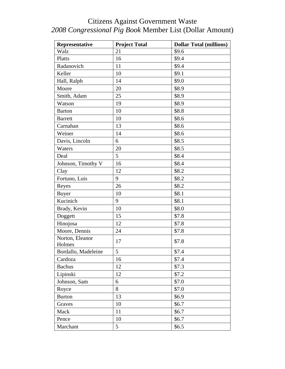| Representative            | <b>Project Total</b> | <b>Dollar Total (millions)</b> |
|---------------------------|----------------------|--------------------------------|
| Walz                      | 21                   | \$9.6                          |
| Platts                    | 16                   | \$9.4                          |
| Radanovich                | 11                   | \$9.4                          |
| Keller                    | 10                   | \$9.1                          |
| Hall, Ralph               | 14                   | \$9.0                          |
| Moore                     | 20                   | \$8.9                          |
| Smith, Adam               | 25                   | \$8.9                          |
| Watson                    | 19                   | \$8.9                          |
| <b>Barton</b>             | 10                   | \$8.8                          |
| <b>Barrett</b>            | 10                   | \$8.6                          |
| Carnahan                  | 13                   | \$8.6                          |
| Weiner                    | 14                   | \$8.6                          |
| Davis, Lincoln            | 6                    | \$8.5                          |
| Waters                    | 20                   | \$8.5                          |
| Deal                      | 5                    | \$8.4                          |
| Johnson, Timothy V        | 16                   | \$8.4                          |
| Clay                      | 12                   | \$8.2                          |
| Fortuno, Luis             | 9                    | \$8.2                          |
| Reyes                     | 26                   | \$8.2                          |
| <b>Buyer</b>              | 10                   | \$8.1                          |
| Kucinich                  | 9                    | \$8.1                          |
| Brady, Kevin              | 10                   | \$8.0                          |
| Doggett                   | 15                   | \$7.8                          |
| Hinojosa                  | 12                   | \$7.8                          |
| Moore, Dennis             | 24                   | \$7.8                          |
| Norton, Eleanor<br>Holmes | 17                   | \$7.8                          |
| Bordallo, Madeleine       | 5                    | \$7.4                          |
| Cardoza                   | 16                   | \$7.4                          |
| <b>Bachus</b>             | 12                   | \$7.3                          |
| Lipinski                  | 12                   | \$7.2                          |
| Johnson, Sam              | 6                    | \$7.0                          |
| Royce                     | 8                    | \$7.0                          |
| <b>Burton</b>             | 13                   | \$6.9                          |
| Graves                    | 10                   | \$6.7                          |
| Mack                      | 11                   | \$6.7                          |
| Pence                     | 10                   | \$6.7                          |
| Marchant                  | 5                    | \$6.5                          |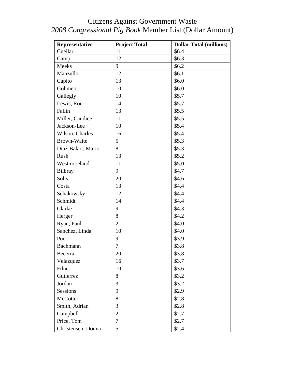| Representative     | <b>Project Total</b> | <b>Dollar Total (millions)</b> |
|--------------------|----------------------|--------------------------------|
| Cuellar            | 11                   | \$6.4                          |
| Camp               | 12                   | \$6.3\$                        |
| Meeks              | 9                    | \$6.2\$                        |
| Manzullo           | 12                   | \$6.1                          |
| Capito             | 13                   | \$6.0                          |
| Gohmert            | 10                   | \$6.0                          |
| Gallegly           | 10                   | \$5.7                          |
| Lewis, Ron         | 14                   | \$5.7                          |
| Fallin             | 13                   | \$5.5                          |
| Miller, Candice    | 11                   | \$5.5                          |
| Jackson-Lee        | 10                   | \$5.4                          |
| Wilson, Charles    | 16                   | \$5.4                          |
| <b>Brown-Waite</b> | 5                    | \$5.3                          |
| Diaz-Balart, Mario | 8                    | \$5.3                          |
| Rush               | 13                   | \$5.2                          |
| Westmoreland       | 11                   | \$5.0                          |
| Bilbray            | 9                    | \$4.7                          |
| Solis              | 20                   | \$4.6                          |
| Costa              | 13                   | \$4.4                          |
| Schakowsky         | 12                   | \$4.4                          |
| Schmidt            | 14                   | \$4.4                          |
| Clarke             | 9                    | \$4.3                          |
| Herger             | 8                    | \$4.2                          |
| Ryan, Paul         | $\overline{2}$       | \$4.0                          |
| Sanchez, Linda     | 10                   | \$4.0                          |
| Poe                | 9                    | \$3.9                          |
| Bachmann           | $\tau$               | \$3.8                          |
| Becerra            | 20                   | \$3.8                          |
| Velazquez          | 16                   | \$3.7                          |
| Filner             | 10                   | \$3.6                          |
| Gutierrez          | $8\,$                | \$3.2                          |
| Jordan             | 3                    | \$3.2                          |
| <b>Sessions</b>    | 9                    | \$2.9                          |
| McCotter           | 8                    | \$2.8                          |
| Smith, Adrian      | 3                    | \$2.8                          |
| Campbell           | $\mathbf{2}$         | \$2.7                          |
| Price, Tom         | $\overline{7}$       | \$2.7                          |
| Christensen, Donna | 5                    | \$2.4                          |